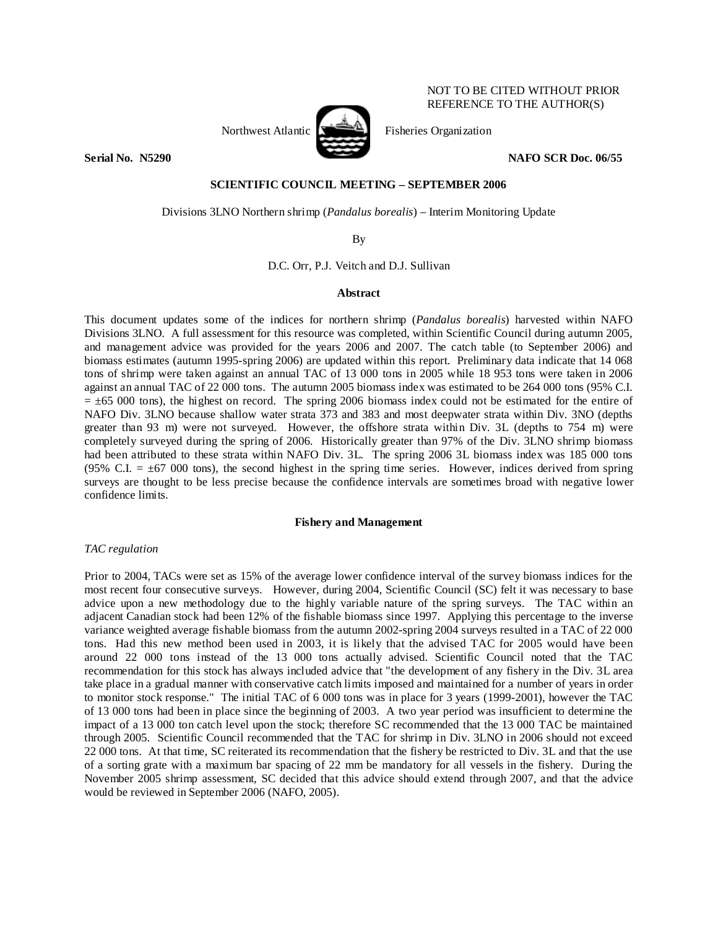

# Northwest Atlantic **Northwest Atlantic** Fisheries Organization

**Serial No. N5290 NAFO SCR Doc. 06/55** 

NOT TO BE CITED WITHOUT PRIOR REFERENCE TO THE AUTHOR(S)

## **SCIENTIFIC COUNCIL MEETING – SEPTEMBER 2006**

Divisions 3LNO Northern shrimp (*Pandalus borealis*) – Interim Monitoring Update

By

D.C. Orr, P.J. Veitch and D.J. Sullivan

## **Abstract**

This document updates some of the indices for northern shrimp (*Pandalus borealis*) harvested within NAFO Divisions 3LNO. A full assessment for this resource was completed, within Scientific Council during autumn 2005, and management advice was provided for the years 2006 and 2007. The catch table (to September 2006) and biomass estimates (autumn 1995-spring 2006) are updated within this report. Preliminary data indicate that 14 068 tons of shrimp were taken against an annual TAC of 13 000 tons in 2005 while 18 953 tons were taken in 2006 against an annual TAC of 22 000 tons. The autumn 2005 biomass index was estimated to be 264 000 tons (95% C.I.  $= \pm 65$  000 tons), the highest on record. The spring 2006 biomass index could not be estimated for the entire of NAFO Div. 3LNO because shallow water strata 373 and 383 and most deepwater strata within Div. 3NO (depths greater than 93 m) were not surveyed. However, the offshore strata within Div. 3L (depths to 754 m) were completely surveyed during the spring of 2006. Historically greater than 97% of the Div. 3LNO shrimp biomass had been attributed to these strata within NAFO Div. 3L. The spring 2006 3L biomass index was 185 000 tons (95% C.I.  $= \pm 67,000$  tons), the second highest in the spring time series. However, indices derived from spring surveys are thought to be less precise because the confidence intervals are sometimes broad with negative lower confidence limits.

## **Fishery and Management**

# *TAC regulation*

Prior to 2004, TACs were set as 15% of the average lower confidence interval of the survey biomass indices for the most recent four consecutive surveys. However, during 2004, Scientific Council (SC) felt it was necessary to base advice upon a new methodology due to the highly variable nature of the spring surveys. The TAC within an adjacent Canadian stock had been 12% of the fishable biomass since 1997. Applying this percentage to the inverse variance weighted average fishable biomass from the autumn 2002-spring 2004 surveys resulted in a TAC of 22 000 tons. Had this new method been used in 2003, it is likely that the advised TAC for 2005 would have been around 22 000 tons instead of the 13 000 tons actually advised. Scientific Council noted that the TAC recommendation for this stock has always included advice that "the development of any fishery in the Div. 3L area take place in a gradual manner with conservative catch limits imposed and maintained for a number of years in order to monitor stock response." The initial TAC of 6 000 tons was in place for 3 years (1999-2001), however the TAC of 13 000 tons had been in place since the beginning of 2003. A two year period was insufficient to determine the impact of a 13 000 ton catch level upon the stock; therefore SC recommended that the 13 000 TAC be maintained through 2005. Scientific Council recommended that the TAC for shrimp in Div. 3LNO in 2006 should not exceed 22 000 tons. At that time, SC reiterated its recommendation that the fishery be restricted to Div. 3L and that the use of a sorting grate with a maximum bar spacing of 22 mm be mandatory for all vessels in the fishery. During the November 2005 shrimp assessment, SC decided that this advice should extend through 2007, and that the advice would be reviewed in September 2006 (NAFO, 2005).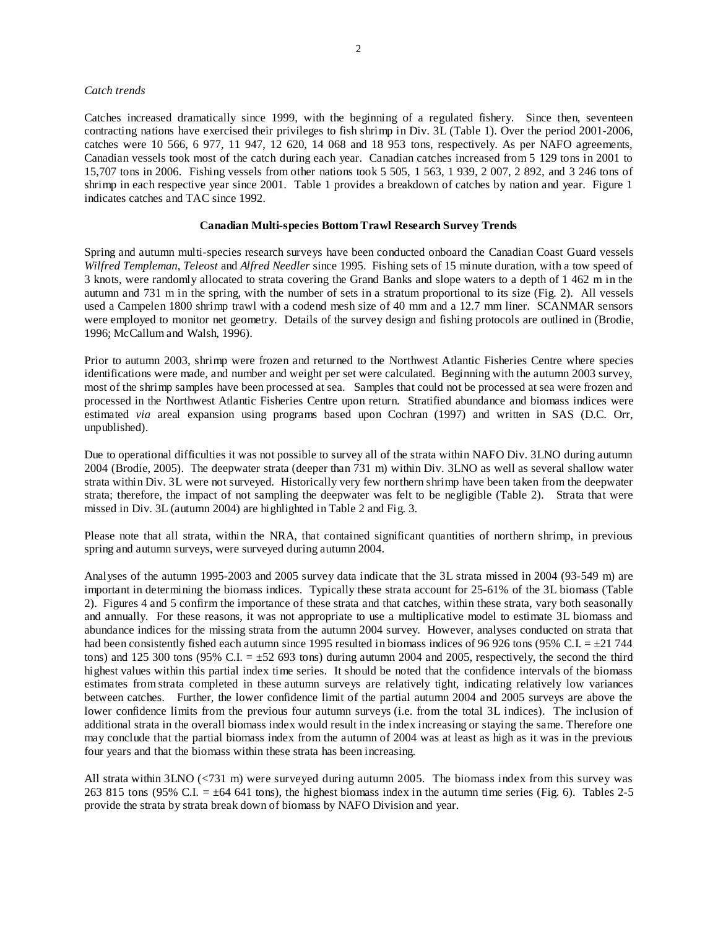## *Catch trends*

Catches increased dramatically since 1999, with the beginning of a regulated fishery. Since then, seventeen contracting nations have exercised their privileges to fish shrimp in Div. 3L (Table 1). Over the period 2001-2006, catches were 10 566, 6 977, 11 947, 12 620, 14 068 and 18 953 tons, respectively. As per NAFO agreements, Canadian vessels took most of the catch during each year. Canadian catches increased from 5 129 tons in 2001 to 15,707 tons in 2006. Fishing vessels from other nations took 5 505, 1 563, 1 939, 2 007, 2 892, and 3 246 tons of shrimp in each respective year since 2001. Table 1 provides a breakdown of catches by nation and year. Figure 1 indicates catches and TAC since 1992.

## **Canadian Multi-species Bottom Trawl Research Survey Trends**

Spring and autumn multi-species research surveys have been conducted onboard the Canadian Coast Guard vessels *Wilfred Templeman*, *Teleost* and *Alfred Needler* since 1995. Fishing sets of 15 minute duration, with a tow speed of 3 knots, were randomly allocated to strata covering the Grand Banks and slope waters to a depth of 1 462 m in the autumn and 731 m in the spring, with the number of sets in a stratum proportional to its size (Fig. 2). All vessels used a Campelen 1800 shrimp trawl with a codend mesh size of 40 mm and a 12.7 mm liner. SCANMAR sensors were employed to monitor net geometry. Details of the survey design and fishing protocols are outlined in (Brodie, 1996; McCallum and Walsh, 1996).

Prior to autumn 2003, shrimp were frozen and returned to the Northwest Atlantic Fisheries Centre where species identifications were made, and number and weight per set were calculated. Beginning with the autumn 2003 survey, most of the shrimp samples have been processed at sea. Samples that could not be processed at sea were frozen and processed in the Northwest Atlantic Fisheries Centre upon return. Stratified abundance and biomass indices were estimated *via* areal expansion using programs based upon Cochran (1997) and written in SAS (D.C. Orr, unpublished).

Due to operational difficulties it was not possible to survey all of the strata within NAFO Div. 3LNO during autumn 2004 (Brodie, 2005). The deepwater strata (deeper than 731 m) within Div. 3LNO as well as several shallow water strata within Div. 3L were not surveyed. Historically very few northern shrimp have been taken from the deepwater strata; therefore, the impact of not sampling the deepwater was felt to be negligible (Table 2). Strata that were missed in Div. 3L (autumn 2004) are highlighted in Table 2 and Fig. 3.

Please note that all strata, within the NRA, that contained significant quantities of northern shrimp, in previous spring and autumn surveys, were surveyed during autumn 2004.

Analyses of the autumn 1995-2003 and 2005 survey data indicate that the 3L strata missed in 2004 (93-549 m) are important in determining the biomass indices. Typically these strata account for 25-61% of the 3L biomass (Table 2). Figures 4 and 5 confirm the importance of these strata and that catches, within these strata, vary both seasonally and annually. For these reasons, it was not appropriate to use a multiplicative model to estimate 3L biomass and abundance indices for the missing strata from the autumn 2004 survey. However, analyses conducted on strata that had been consistently fished each autumn since 1995 resulted in biomass indices of 96 926 tons (95% C.I.  $= \pm 21$  744 tons) and 125 300 tons (95% C.I.  $=\pm 52$  693 tons) during autumn 2004 and 2005, respectively, the second the third highest values within this partial index time series. It should be noted that the confidence intervals of the biomass estimates from strata completed in these autumn surveys are relatively tight, indicating relatively low variances between catches. Further, the lower confidence limit of the partial autumn 2004 and 2005 surveys are above the lower confidence limits from the previous four autumn surveys (i.e. from the total 3L indices). The inclusion of additional strata in the overall biomass index would result in the index increasing or staying the same. Therefore one may conclude that the partial biomass index from the autumn of 2004 was at least as high as it was in the previous four years and that the biomass within these strata has been increasing.

All strata within 3LNO (<731 m) were surveyed during autumn 2005. The biomass index from this survey was 263 815 tons (95% C.I.  $= \pm 64$  641 tons), the highest biomass index in the autumn time series (Fig. 6). Tables 2-5 provide the strata by strata break down of biomass by NAFO Division and year.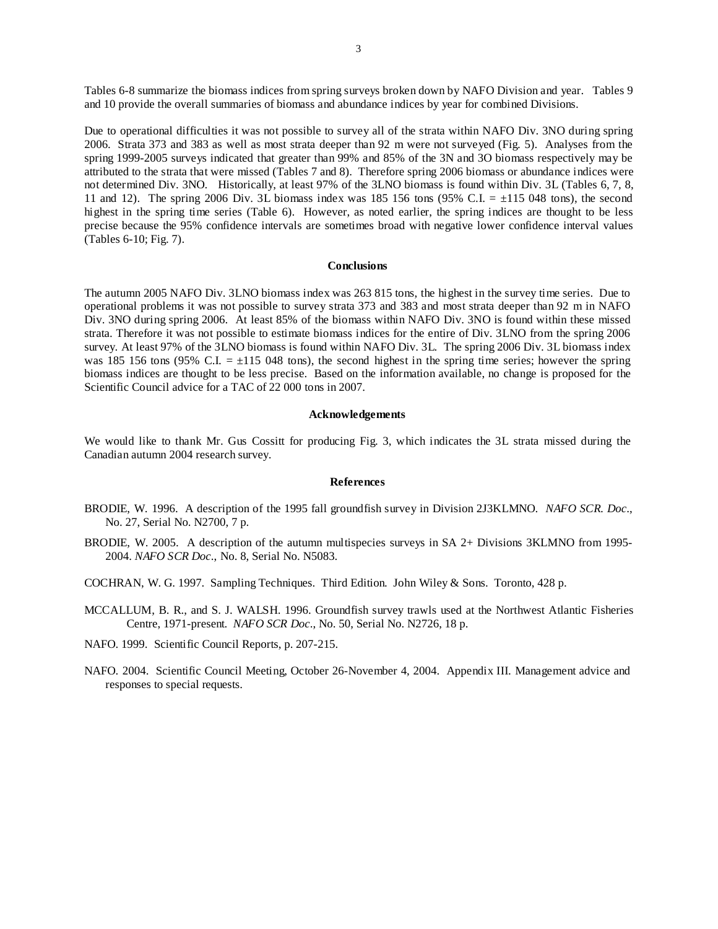Tables 6-8 summarize the biomass indices from spring surveys broken down by NAFO Division and year. Tables 9 and 10 provide the overall summaries of biomass and abundance indices by year for combined Divisions.

Due to operational difficulties it was not possible to survey all of the strata within NAFO Div. 3NO during spring 2006. Strata 373 and 383 as well as most strata deeper than 92 m were not surveyed (Fig. 5). Analyses from the spring 1999-2005 surveys indicated that greater than 99% and 85% of the 3N and 3O biomass respectively may be attributed to the strata that were missed (Tables 7 and 8). Therefore spring 2006 biomass or abundance indices were not determined Div. 3NO. Historically, at least 97% of the 3LNO biomass is found within Div. 3L (Tables 6, 7, 8, 11 and 12). The spring 2006 Div. 3L biomass index was 185 156 tons (95% C.I.  $= \pm 115$  048 tons), the second highest in the spring time series (Table 6). However, as noted earlier, the spring indices are thought to be less precise because the 95% confidence intervals are sometimes broad with negative lower confidence interval values (Tables 6-10; Fig. 7).

#### **Conclusions**

The autumn 2005 NAFO Div. 3LNO biomass index was 263 815 tons, the highest in the survey time series. Due to operational problems it was not possible to survey strata 373 and 383 and most strata deeper than 92 m in NAFO Div. 3NO during spring 2006. At least 85% of the biomass within NAFO Div. 3NO is found within these missed strata. Therefore it was not possible to estimate biomass indices for the entire of Div. 3LNO from the spring 2006 survey. At least 97% of the 3LNO biomass is found within NAFO Div. 3L. The spring 2006 Div. 3L biomass index was 185 156 tons (95% C.I.  $= \pm 115$  048 tons), the second highest in the spring time series; however the spring biomass indices are thought to be less precise. Based on the information available, no change is proposed for the Scientific Council advice for a TAC of 22 000 tons in 2007.

#### **Acknowledgements**

We would like to thank Mr. Gus Cossitt for producing Fig. 3, which indicates the 3L strata missed during the Canadian autumn 2004 research survey.

#### **References**

- BRODIE, W. 1996. A description of the 1995 fall groundfish survey in Division 2J3KLMNO. *NAFO SCR. Doc*., No. 27, Serial No. N2700, 7 p.
- BRODIE, W. 2005. A description of the autumn multispecies surveys in SA 2+ Divisions 3KLMNO from 1995- 2004. *NAFO SCR Doc*., No. 8, Serial No. N5083.
- COCHRAN, W. G. 1997. Sampling Techniques. Third Edition. John Wiley & Sons. Toronto, 428 p.
- MCCALLUM, B. R., and S. J. WALSH. 1996. Groundfish survey trawls used at the Northwest Atlantic Fisheries Centre, 1971-present. *NAFO SCR Doc*., No. 50, Serial No. N2726, 18 p.
- NAFO. 1999. Scientific Council Reports, p. 207-215.
- NAFO. 2004. Scientific Council Meeting, October 26-November 4, 2004. Appendix III. Management advice and responses to special requests.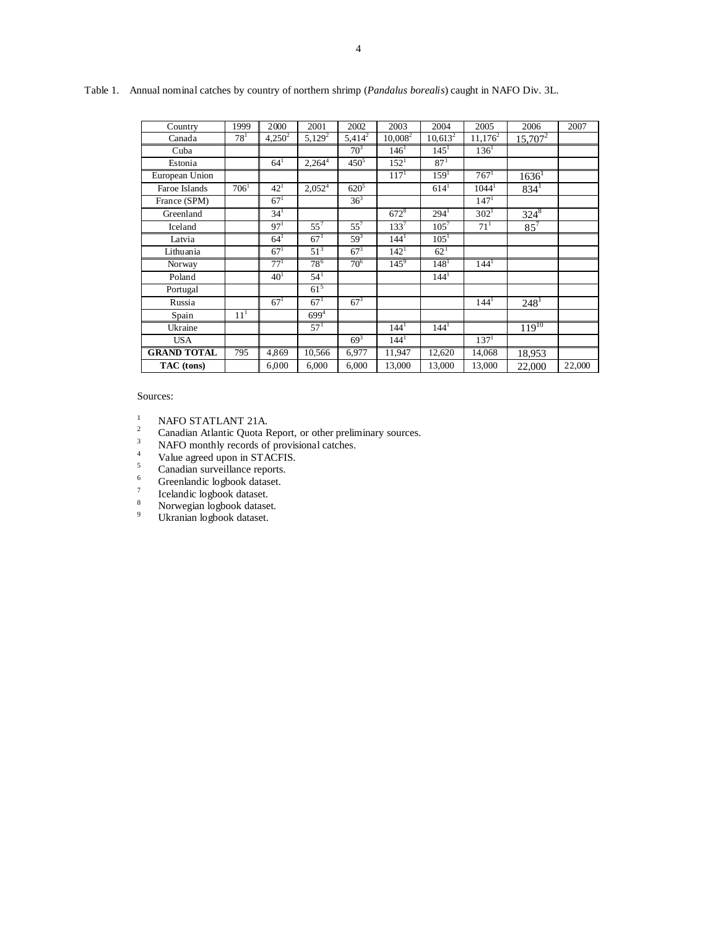| Country            | 1999     | 2000            | 2001            | 2002      | 2003             | 2004             | 2005               | 2006                 | 2007   |
|--------------------|----------|-----------------|-----------------|-----------|------------------|------------------|--------------------|----------------------|--------|
| Canada             | $78^1$   | $4,250^2$       | $5,129^2$       | $5,414^2$ | $10,008^2$       | $10,613^2$       | $11,176^2$         | $15,707^2$           |        |
| Cuba               |          |                 |                 | $70^3$    | 146 <sup>1</sup> | $145^1$          | $136$ <sup>T</sup> |                      |        |
| Estonia            |          | $64^{1}$        | $2,264^{4}$     | $450^{5}$ | $152^1$          | $87^{1}$         |                    |                      |        |
| European Union     |          |                 |                 |           | $117^{1}$        | 159 <sup>1</sup> | $767^1$            | $1636^1$             |        |
| Faroe Islands      | $706^1$  | $42^{1}$        | $2,052^4$       | $620^{5}$ |                  | $614^1$          | $1044^1$           | $834^1$              |        |
| France (SPM)       |          | 67 <sup>1</sup> |                 | $36^{3}$  |                  |                  | 147 <sup>1</sup>   |                      |        |
| Greenland          |          | 34 <sup>1</sup> |                 |           | $672^8$          | $294^1$          | $302^1$            | $324^8$              |        |
| Iceland            |          | 97 <sup>1</sup> | $55^7$          | $55^7$    | $133^{7}$        | $105^7$          | $71^{1}$           | $85^{7}$             |        |
| Latvia             |          | $64^{1}$        | $67^{1}$        | $59^{3}$  | $144^1$          | $105^1$          |                    |                      |        |
| Lithuania          |          | 67 <sup>1</sup> | 51 <sup>3</sup> | $67^{3}$  | 142 <sup>1</sup> | $62^{1}$         |                    |                      |        |
| Norway             |          | $77^{1}$        | 78 <sup>6</sup> | $70^{6}$  | $145^9$          | 148 <sup>1</sup> | 144 <sup>1</sup>   |                      |        |
| Poland             |          | 40 <sup>1</sup> | $54^{1}$        |           |                  | 144 <sup>1</sup> |                    |                      |        |
| Portugal           |          |                 | $61^{5}$        |           |                  |                  |                    |                      |        |
| Russia             |          | $67^{1}$        | $67^{1}$        | $67^{3}$  |                  |                  | $144^1$            | $248^{1}$            |        |
| Spain              | $11^{1}$ |                 | $699^{4}$       |           |                  |                  |                    |                      |        |
| Ukraine            |          |                 | $57^{1}$        |           | 144 <sup>1</sup> | 144 <sup>1</sup> |                    | $\frac{119^{10}}{2}$ |        |
| <b>USA</b>         |          |                 |                 | $69^{3}$  | $144^1$          |                  | 137 <sup>1</sup>   |                      |        |
| <b>GRAND TOTAL</b> | 795      | 4,869           | 10,566          | 6,977     | 11,947           | 12,620           | 14,068             | 18,953               |        |
| TAC (tons)         |          | 6,000           | 6,000           | 6,000     | 13,000           | 13,000           | 13,000             | 22,000               | 22,000 |

Table 1. Annual nominal catches by country of northern shrimp (*Pandalus borealis*) caught in NAFO Div. 3L.

Sources:

<sup>1</sup> NAFO STATLANT 21A.<br><sup>2</sup> Canadian Atlantic Quota Report, or other preliminary sources.<br><sup>3</sup> NAFO monthly records of provisional catches.

4  $V$ alue agreed upon in STACFIS.

 $\frac{5}{6}$  Canadian surveillance reports.

Greenlandic logbook dataset.

7 Icelandic logbook dataset.

8 Norwegian logbook dataset.

9 Ukranian logbook dataset.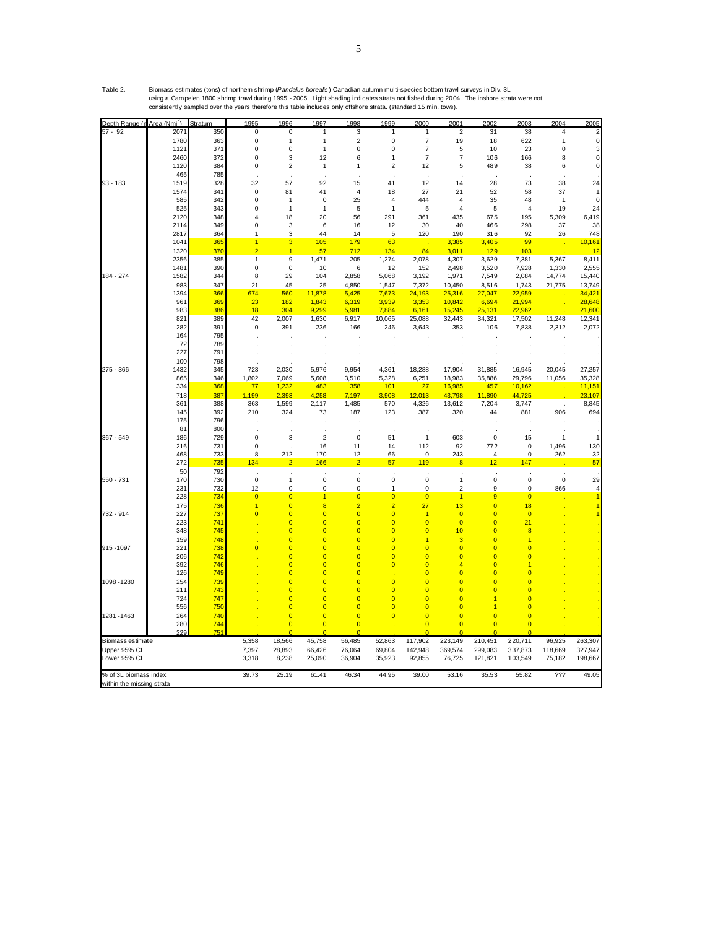| Depth Range (n Area (Nmi <sup>2</sup> ) |              | Stratum    | 1995           | 1996                             | 1997                             | 1998                             | 1999                       | 2000                             | 2001                             | 2002                                      | 2003                    | 2004         | 2005         |
|-----------------------------------------|--------------|------------|----------------|----------------------------------|----------------------------------|----------------------------------|----------------------------|----------------------------------|----------------------------------|-------------------------------------------|-------------------------|--------------|--------------|
| 57 - 92                                 | 207          | 350        | 0              | 0                                | 1                                | 3                                | $\mathbf{1}$               | 1                                | 2                                | 31                                        | 38                      | 4            |              |
|                                         | 1780         | 363        | $\mathbf 0$    | 1                                | $\mathbf{1}$                     | $\mathbf 2$                      | $\mathbf 0$                | $\overline{\mathcal{I}}$         | 19                               | 18                                        | 622                     | 1            |              |
|                                         | 1121         | 371        | 0              | $\mathbf 0$                      | $\mathbf{1}$                     | 0                                | 0                          | 7                                | 5                                | 10                                        | 23                      | 0            |              |
|                                         | 2460         | 372        | 0              | 3                                | 12                               | 6                                | 1                          | 7                                | $\overline{\mathcal{I}}$         | 106                                       | 166                     | 8            |              |
|                                         | 1120         | 384        | 0              | $\overline{2}$                   | $\mathbf{1}$                     | 1                                | $\overline{2}$             | 12                               | 5                                | 489                                       | 38                      | 6            |              |
|                                         | 465          | 785        |                |                                  |                                  |                                  |                            |                                  |                                  |                                           |                         |              |              |
| $93 - 183$                              | 1519         | 328        | 32             | 57                               | 92                               | 15                               | 41                         | 12                               | 14                               | 28                                        | 73                      | 38           | 24           |
|                                         | 1574         | 341        | $\mathbf 0$    | 81                               | 41                               | $\overline{4}$                   | 18                         | 27                               | 21                               | 52                                        | 58                      | 37           |              |
|                                         | 585          | 342        | 0              | 1                                | 0                                | 25                               | 4                          | 444                              | 4                                | 35                                        | 48                      | 1            |              |
|                                         | 525          | 343        | 0              | $\overline{1}$                   | $\mathbf{1}$                     | 5                                | $\mathbf{1}$               | 5                                | $\overline{4}$                   | 5                                         | $\overline{4}$          | 19           | 24           |
|                                         | 2120<br>2114 | 348<br>349 | 4<br>0         | 18<br>3                          | 20<br>6                          | 56<br>16                         | 291<br>12                  | 361<br>30                        | 435<br>40                        | 675<br>466                                | 195<br>298              | 5,309<br>37  | 6,419<br>38  |
|                                         | 2817         | 364        | 1              | 3                                | 44                               | 14                               | 5                          | 120                              | 190                              |                                           | 92                      | 26           | 748          |
|                                         | 1041         | 365        | $\overline{1}$ | 3                                | 105                              | 179                              | 63                         |                                  | 3,385                            | 316<br>3,405                              | 99                      |              | 10,161       |
|                                         | 1320         | 370        | $\overline{2}$ | 1                                | 57                               | 712                              | 134                        | 84                               | 3,011                            | 129                                       | 103                     |              | 12           |
|                                         | 2356         | 385        | $\mathbf{1}$   | 9                                | 1,471                            | 205                              | 1,274                      | 2,078                            | 4,307                            | 3,629                                     | 7,381                   | 5,367        | 8,411        |
|                                         | 148'         | 390        | 0              | 0                                | 10                               | 6                                | 12                         | 152                              | 2,498                            | 3,520                                     | 7,928                   | 1,330        | 2,555        |
| 184 - 274                               | 1582         | 344        | 8              | 29                               | 104                              | 2,858                            | 5,068                      | 3,192                            | 1,971                            | 7,549                                     | 2,084                   | 14,774       | 15,440       |
|                                         | 983          | 347        | 21             | 45                               | 25                               | 4,850                            | 1,547                      | 7,372                            | 10,450                           | 8,516                                     | 1,743                   | 21,775       | 13,749       |
|                                         | 1394         | 366        | 674            | 560                              | 11,878                           | 5,425                            | 7,673                      | 24,193                           | 25,316                           | 27,047                                    | 22,959                  |              | 34,421       |
|                                         | 961          | 369        | 23             | 182                              | 1,843                            | 6,319                            | 3,939                      | 3,353                            | 10,842                           | 6,694                                     | 21,994                  |              | 28,648       |
|                                         | 983          | 386        | 18             | 304                              | 9,299                            | 5,981                            | 7,884                      | 6,161                            | 15,245                           | 25,131                                    | 22,962                  |              | 21,600       |
|                                         | 821          | 389        | 42             | 2,007                            | 1,630                            | 6,917                            | 10,065                     | 25,088                           | 32,443                           | 34,321                                    | 17,502                  | 11,248       | 12,341       |
|                                         | 282          | 391        | $\mathbf 0$    | 391                              | 236                              | 166                              | 246                        | 3,643                            | 353                              | 106                                       | 7,838                   | 2,312        | 2,072        |
|                                         | 164          | 795        |                |                                  |                                  |                                  |                            |                                  |                                  |                                           |                         |              |              |
|                                         | 72           | 789        |                |                                  |                                  |                                  |                            |                                  |                                  |                                           |                         |              |              |
|                                         | 227          | 791        |                |                                  |                                  |                                  |                            |                                  |                                  |                                           |                         |              |              |
|                                         | 100          | 798        |                |                                  |                                  |                                  |                            |                                  |                                  |                                           |                         |              |              |
| 275 - 366                               | 1432         | 345        | 723            | 2,030                            | 5,976                            | 9,954                            | 4,361                      | 18,288                           | 17,904                           | 31,885                                    | 16,945                  | 20,045       | 27,257       |
|                                         | 865          | 346        | 1,802          | 7,069                            | 5,608                            | 3,510                            | 5,328                      | 6,251                            | 18,983                           | 35,886                                    | 29,796                  | 11,056       | 35,328       |
|                                         | 334          | 368        | 77             | 1,232                            | 483                              | 358                              | 101                        | 27                               | 16,985                           | 457                                       | 10,162                  |              | 11,151       |
|                                         | 718          | 387        | 1,199          | 2,393                            | 4,258                            | 7,197                            | 3,908                      | 12,013                           | 43,798                           | 11,890                                    | 44,725                  |              | 23,107       |
|                                         | 361<br>145   | 388<br>392 | 363            | 1,599                            | 2,117                            | 1,485                            | 570<br>123                 | 4,326                            | 13,612                           | 7,204<br>44                               | 3,747                   |              | 8,845<br>694 |
|                                         | 175          | 796        | 210            | 324                              | 73                               | 187                              |                            | 387                              | 320                              |                                           | 881                     | 906          |              |
|                                         | 81           | 800        |                |                                  |                                  |                                  |                            |                                  |                                  |                                           |                         |              |              |
| 367 - 549                               | 186          | 729        | $\pmb{0}$      | 3                                | $\overline{2}$                   | 0                                | 51                         | 1                                | 603                              | 0                                         | 15                      | $\mathbf{1}$ |              |
|                                         | 216          | 731        | $\pmb{0}$      |                                  | 16                               | 11                               | 14                         | 112                              | 92                               | 772                                       | $\pmb{0}$               | 1,496        | 130          |
|                                         | 468          | 733        | 8              | 212                              | 170                              | 12                               | 66                         | $\mathbf 0$                      | 243                              | 4                                         | $\mathbf 0$             | 262          | 32           |
|                                         | 272          | 735        | 134            | 2                                | 166                              | $\overline{2}$                   | 57                         | 119                              | 8                                | 12                                        | 147                     |              | 57           |
|                                         | 50           | 792        |                |                                  |                                  |                                  |                            |                                  |                                  |                                           |                         |              |              |
| 550 - 731                               | 170          | 730        | $\pmb{0}$      | 1                                | $\pmb{0}$                        | 0                                | $\pmb{0}$                  | 0                                | 1                                | $\pmb{0}$                                 | 0                       | $\pmb{0}$    | 29           |
|                                         | 231          | 732        | 12             | 0                                | $\pmb{0}$                        | 0                                | 1                          | 0                                | $\mathbf 2$                      | 9                                         | $\pmb{0}$               | 866          |              |
|                                         | 228          | 734        | $\overline{0}$ | $\overline{0}$                   | $\overline{1}$                   | $\overline{0}$                   | $\overline{0}$             | $\overline{0}$                   | $\overline{1}$                   | 9                                         | $\overline{0}$          |              |              |
|                                         | 175          | 736        | $\overline{1}$ | $\overline{0}$                   | $\overline{8}$                   | $\overline{2}$                   | $\overline{2}$             | 27                               | 13                               | $\overline{0}$                            | 18                      |              |              |
| 732 - 914                               | 227          | 737        | $\overline{0}$ | $\overline{0}$                   | $\overline{0}$                   | $\overline{0}$                   | $\overline{0}$             | 1                                | $\overline{0}$                   | $\overline{\mathbf{0}}$                   | $\overline{0}$          |              |              |
|                                         | 223          | 741        |                | $\overline{0}$                   | $\overline{0}$                   | $\overline{0}$                   | $\overline{0}$             | $\overline{0}$                   | $\overline{\mathbf{0}}$          | $\overline{0}$                            | 21                      |              |              |
|                                         | 348          | 745        |                | $\overline{0}$                   | $\overline{0}$                   | $\overline{0}$                   | $\overline{0}$             | $\overline{0}$                   | 10                               | $\overline{0}$                            | $\overline{\mathbf{8}}$ |              |              |
|                                         | 159          | 748        |                | $\overline{\mathbf{0}}$          | $\overline{0}$                   | $\overline{0}$                   | $\overline{0}$             |                                  | 3                                | $\overline{0}$                            | 1                       |              |              |
| 915 - 1097                              | 221          | 738        | $\overline{0}$ | $\overline{0}$                   | $\overline{0}$                   | $\overline{0}$                   | $\overline{0}$             | $\overline{0}$                   | $\overline{0}$                   | $\overline{0}$                            | $\overline{0}$          |              |              |
|                                         | 206          | 742        |                | $\overline{0}$                   | $\overline{0}$                   | $\overline{0}$                   | $\overline{0}$             | $\overline{0}$                   | $\overline{0}$                   | $\overline{0}$                            | $\overline{0}$          |              |              |
|                                         | 392          | 746<br>749 |                | $\overline{0}$<br>$\overline{0}$ | $\overline{0}$<br>$\overline{0}$ | $\overline{0}$<br>$\overline{0}$ | $\overline{0}$             | $\overline{0}$<br>$\overline{0}$ | $\overline{4}$<br>$\overline{0}$ | $\overline{0}$<br>$\overline{0}$          | $\overline{0}$          |              |              |
|                                         | 126          |            |                |                                  | $\overline{0}$                   |                                  |                            |                                  |                                  |                                           | $\overline{0}$          |              |              |
| 1098 - 1280                             | 254<br>211   | 739<br>743 |                | $\overline{0}$<br>$\overline{0}$ | $\overline{0}$                   | $\overline{0}$<br>$\overline{0}$ | $\overline{0}$<br>$\Omega$ | O<br>$\overline{0}$              | $\overline{0}$<br>$\overline{0}$ | $\overline{0}$<br>$\overline{\mathbf{0}}$ | $\overline{0}$          |              |              |
|                                         | 724          | 747        |                | $\overline{0}$                   | $\overline{0}$                   | $\overline{0}$                   | $\overline{0}$             | $\overline{0}$                   | $\overline{0}$                   |                                           | $\overline{0}$          |              |              |
|                                         | 556          | 750        |                | $\overline{0}$                   | $\overline{0}$                   | $\overline{0}$                   | $\overline{0}$             | $\overline{0}$                   | $\overline{0}$                   | 1                                         | $\overline{0}$          |              |              |
| 1281 - 1463                             | 264          | 740        |                | $\overline{0}$                   | $\overline{0}$                   | $\overline{0}$                   | $\overline{0}$             | $\overline{0}$                   | $\overline{0}$                   | $\overline{0}$                            | $\overline{0}$          |              |              |
|                                         | 280          | 744        |                | $\overline{0}$                   | $\overline{0}$                   | $\overline{0}$                   |                            | $\overline{\mathbf{0}}$          | $\overline{0}$                   | $\overline{0}$                            | $\overline{0}$          |              |              |
|                                         | 229          | 751        |                | $\overline{0}$                   | $\overline{0}$                   | $\overline{0}$                   |                            |                                  |                                  |                                           | $\overline{0}$          |              |              |
| <b>Biomass estimate</b>                 |              |            | 5,358          | 18,566                           | 45,758                           | 56,485                           | 52,863                     | 117,902                          | 223,149                          | 210,451                                   | 220,711                 | 96,925       | 263,307      |
| Upper 95% CL                            |              |            | 7,397          | 28,893                           | 66,426                           | 76,064                           | 69,804                     | 142,948                          | 369,574                          | 299,083                                   | 337,873                 | 118,669      | 327,947      |
| Lower 95% CL                            |              |            | 3,318          | 8,238                            | 25,090                           | 36,904                           | 35,923                     | 92,855                           | 76,725                           | 121,821                                   | 103,549                 | 75,182       | 198,667      |
|                                         |              |            |                |                                  |                                  |                                  |                            |                                  |                                  |                                           |                         |              |              |
| % of 3L biomass index                   |              |            | 39.73          | 25.19                            | 61.41                            | 46.34                            | 44.95                      | 39.00                            | 53.16                            | 35.53                                     | 55.82                   | ???          | 49.05        |
| within the missing strata               |              |            |                |                                  |                                  |                                  |                            |                                  |                                  |                                           |                         |              |              |

Table 2. Biomass estimates (tons) of northern shrimp (*Pandalus borealis* ) Canadian autumn multi-species bottom trawl surveys in Div. 3L using a Campelen 1800 shrimp trawl during 1995 - 2005. Light shading indicates strata not fished during 2004. The inshore strata were not consistently sampled over the years therefore this table includes only offshore strata. (standard 15 min. tows).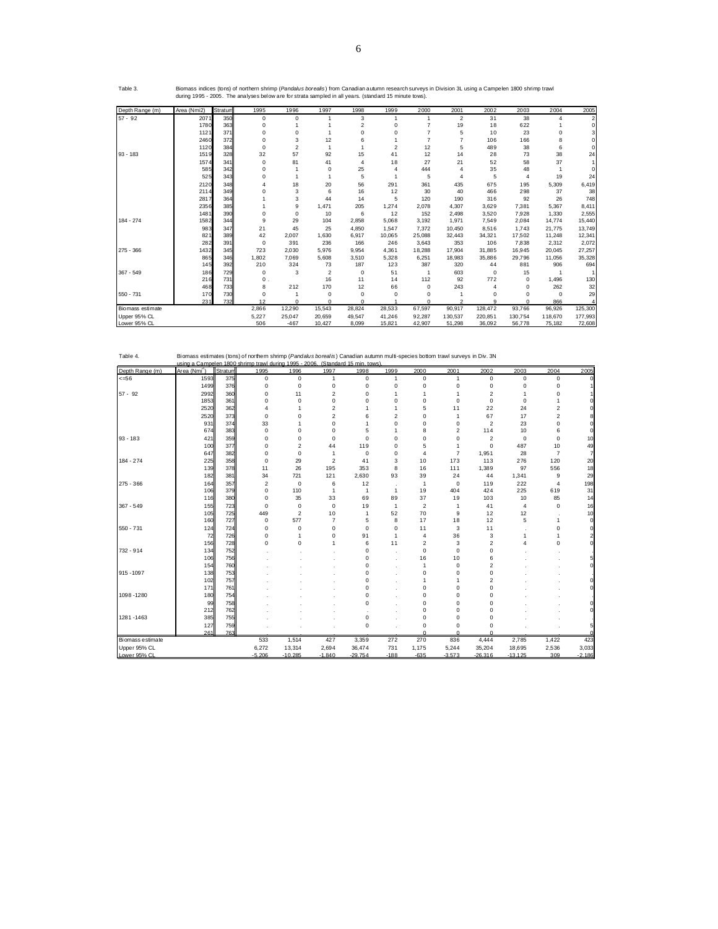| Table 4.         |                          |         | Biomass estimates (tons) of northern shrimp (Pandalus borealis) Canadian autumn multi-species bottom trawl surveys in Div. 3N<br>using a Campelen 1800 shrimp trawl during 1995 - 2006. (Standard 15 min. tows) |                |                         |           |                |                         |                         |                         |                |                         |          |
|------------------|--------------------------|---------|-----------------------------------------------------------------------------------------------------------------------------------------------------------------------------------------------------------------|----------------|-------------------------|-----------|----------------|-------------------------|-------------------------|-------------------------|----------------|-------------------------|----------|
| Depth Range (m)  | Area (Nmi <sup>2</sup> ) | Stratum | 1995                                                                                                                                                                                                            | 1996           | 1997                    | 1998      | 1999           | 2000                    | 2001                    | 2002                    | 2003           | 2004                    | 2005     |
| $<=56$           | 1593                     | 375     | $\mathbf 0$                                                                                                                                                                                                     | 0              | $\mathbf{1}$            | 0         | $\mathbf{1}$   | $\mathbf 0$             | $\mathbf{1}$            | $\mathbf 0$             | $\Omega$       | $\mathbf 0$             | ΩI       |
|                  | 1499                     | 376     | $\mathbf 0$                                                                                                                                                                                                     | $\mathbf 0$    | $\mathbf 0$             | 0         | $\mathbf 0$    | 0                       | $\mathbf 0$             | $\mathbf 0$             | 0              | $\mathbf 0$             |          |
| $57 - 92$        | 2992                     | 360     | $\mathbf 0$                                                                                                                                                                                                     | 11             | $\overline{\mathbf{c}}$ | 0         | 1              | 1                       | 1                       | $\overline{2}$          | 1              | $\mathbf 0$             |          |
|                  | 1853                     | 361     | $\Omega$                                                                                                                                                                                                        | $\mathbf 0$    | 0                       | $\Omega$  | $\Omega$       | 0                       | $\mathbf 0$             | $\mathbf 0$             | $\mathbf 0$    | $\mathbf{1}$            |          |
|                  | 2520                     | 362     | 4                                                                                                                                                                                                               | 1              | $\overline{c}$          | 1         | 1              | 5                       | 11                      | 22                      | 24             | $\overline{\mathbf{c}}$ |          |
|                  | 2520                     | 373     | $\mathbf 0$                                                                                                                                                                                                     | 0              | $\overline{2}$          | 6         | $\overline{2}$ | 0                       | 1                       | 67                      | 17             | $\overline{2}$          |          |
|                  | 931                      | 374     | 33                                                                                                                                                                                                              | 1              | $\mathbf 0$             | 1         | 0              | 0                       | $\mathbf 0$             | $\overline{2}$          | 23             | $\mathbf 0$             |          |
|                  | 674                      | 383     | $\Omega$                                                                                                                                                                                                        | 0              | $\mathbf 0$             | 5         | 1              | 8                       | $\overline{\mathbf{c}}$ | 114                     | 10             | 6                       |          |
| $93 - 183$       | 421                      | 359     | $\Omega$                                                                                                                                                                                                        | 0              | $\mathbf 0$             | $\Omega$  | $\Omega$       | 0                       | 0                       | $\overline{2}$          | $\Omega$       | $\Omega$                | 10       |
|                  | 100                      | 377     | $\mathbf 0$                                                                                                                                                                                                     | 2              | 44                      | 119       | 0              | 5                       | 1                       | $\mathbf 0$             | 487            | 10                      | 49       |
|                  | 647                      | 382     | $\mathbf 0$                                                                                                                                                                                                     | $\mathbf 0$    | 1                       | 0         | 0              | 4                       | $\overline{7}$          | 1,951                   | 28             | $\overline{7}$          | 7        |
| 184 - 274        | 225                      | 358     | $\Omega$                                                                                                                                                                                                        | 29             | $\overline{2}$          | 41        | 3              | 10                      | 173                     | 113                     | 276            | 120                     | 20       |
|                  | 139                      | 378     | 11                                                                                                                                                                                                              | 26             | 195                     | 353       | 8              | 16                      | 111                     | 1,389                   | 97             | 556                     | 18       |
|                  | 182                      | 381     | 34                                                                                                                                                                                                              | 721            | 121                     | 2,630     | 93             | 39                      | 24                      | 44                      | 1,341          | 9                       | 29       |
| 275 - 366        | 164                      | 357     | $\overline{\mathbf{c}}$                                                                                                                                                                                         | $\mathbf 0$    | 6                       | 12        |                | $\overline{1}$          | $\mathbf 0$             | 119                     | 222            | $\overline{4}$          | 198      |
|                  | 106                      | 379     | $\mathbf 0$                                                                                                                                                                                                     | 110            | $\mathbf{1}$            | 1         | $\overline{1}$ | 19                      | 404                     | 424                     | 225            | 619                     | 31       |
|                  | 116                      | 380     | $\mathbf 0$                                                                                                                                                                                                     | 35             | 33                      | 69        | 89             | 37                      | 19                      | 103                     | 10             | 85                      | 14       |
| $367 - 549$      | 155                      | 723     | $\Omega$                                                                                                                                                                                                        | $\mathbf 0$    | $\mathbf 0$             | 19        | $\overline{1}$ | $\overline{\mathbf{c}}$ | $\overline{1}$          | 41                      | $\overline{4}$ | $\Omega$                | 16       |
|                  | 105                      | 725     | 449                                                                                                                                                                                                             | $\overline{2}$ | 10                      | 1         | 52             | 70                      | 9                       | 12                      | 12             |                         | 10       |
|                  | 160                      | 727     | $\mathbf 0$                                                                                                                                                                                                     | 577            | $\overline{7}$          | 5         | 8              | 17                      | 18                      | 12                      | 5              | $\mathbf{1}$            | 0l       |
| $550 - 731$      | 124                      | 724     | $\mathbf 0$                                                                                                                                                                                                     | 0              | $\mathbf 0$             | 0         | $\mathbf 0$    | 11                      | 3                       | 11                      |                | $\mathbf 0$             |          |
|                  | 72                       | 726     | $\mathbf 0$                                                                                                                                                                                                     | 1              | $\mathbf 0$             | 91        | $\overline{1}$ | 4                       | 36                      | 3                       | 1              | 1                       |          |
|                  | 156                      | 728     | $\Omega$                                                                                                                                                                                                        | 0              | 1                       | 6         | 11             | $\overline{\mathbf{c}}$ | 3                       | $\overline{\mathbf{c}}$ | Δ              | $\Omega$                |          |
| 732 - 914        | 134                      | 752     |                                                                                                                                                                                                                 |                |                         | 0         |                | $\mathbf 0$             | $\Omega$                | $\mathbf 0$             |                |                         |          |
|                  | 106                      | 756     |                                                                                                                                                                                                                 |                |                         | 0         |                | 16                      | 10                      | 6                       |                |                         |          |
|                  | 154                      | 760     |                                                                                                                                                                                                                 |                |                         | 0         |                | $\mathbf{1}$            | $\mathbf 0$             | $\overline{\mathbf{c}}$ |                |                         |          |
| 915 - 1097       | 138                      | 753     |                                                                                                                                                                                                                 |                |                         | 0         |                | 0                       | $\mathbf 0$             | $\mathbf 0$             |                |                         |          |
|                  | 102                      | 757     |                                                                                                                                                                                                                 |                |                         | Ō         |                | 1                       | 1                       | $\overline{2}$          |                |                         |          |
|                  | 171                      | 761     |                                                                                                                                                                                                                 |                |                         | Ō         |                | 0                       | 0                       | $\mathbf 0$             |                |                         | Οl       |
| 1098-1280        | 180                      | 754     |                                                                                                                                                                                                                 |                |                         | 0         |                | 0                       | 0                       | O                       |                |                         |          |
|                  | 99                       | 758     |                                                                                                                                                                                                                 |                |                         | 0         |                | 0                       | 0                       | O                       |                |                         |          |
|                  | 212                      | 762     |                                                                                                                                                                                                                 |                |                         |           |                | 0                       | 0                       | $\Omega$                |                |                         |          |
| 1281-1463        | 385                      | 755     |                                                                                                                                                                                                                 |                |                         | 0         |                | 0                       | 0                       | $\mathbf 0$             |                |                         |          |
|                  | 127                      | 759     |                                                                                                                                                                                                                 |                |                         | 0         |                | 0                       | $\mathbf 0$             | $\Omega$                |                |                         | 51       |
|                  | 261                      | 763     |                                                                                                                                                                                                                 |                |                         |           |                | $\Omega$                | $\Omega$                | $\Omega$                |                |                         |          |
| Biomass estimate |                          |         | 533                                                                                                                                                                                                             | 1,514          | 427                     | 3,359     | 272            | 270                     | 836                     | 4,444                   | 2,785          | 1,422                   | 423      |
| Upper 95% CL     |                          |         | 6,272                                                                                                                                                                                                           | 13,314         | 2,694                   | 36,474    | 731            | 1,175                   | 5,244                   | 35,204                  | 18,695         | 2,536                   | 3,033    |
| Lower 95% CL     |                          |         | $-5.206$                                                                                                                                                                                                        | $-10.285$      | $-1.840$                | $-29.754$ | $-188$         | $-635$                  | $-3.573$                | $-26.316$               | $-13.125$      | 309                     | $-2.186$ |

| Depth Range (m)  | Area (Nmi2) | Stratum | 1995        | 1996           | 1997           | 1998           | 1999           | 2000     | 2001           | 2002       | 2003     | 2004           | 2005    |
|------------------|-------------|---------|-------------|----------------|----------------|----------------|----------------|----------|----------------|------------|----------|----------------|---------|
| $57 - 92$        | 2071        | 350     | $\mathbf 0$ | $\Omega$       |                | 3              |                |          | $\overline{2}$ | 31         | 38       | $\overline{4}$ |         |
|                  | 1780        | 363     | 0           |                |                | $\overline{2}$ | 0              |          | 19             | 18         | 622      |                |         |
|                  | 1121        | 371     | 0           | $\Omega$       |                | $\Omega$       | 0              |          | 5              | 10         | 23       | $\Omega$       |         |
|                  | 2460        | 372     | 0           | 3              | 12             | 6              |                |          | 7              | 106        | 166      | 8              |         |
|                  | 1120        | 384     | $\mathbf 0$ | $\overline{2}$ |                |                | $\overline{c}$ | 12       | 5              | 489        | 38       | 6              |         |
| $93 - 183$       | 1519        | 328     | 32          | 57             | 92             | 15             | 41             | 12       | 14             | 28         | 73       | 38             | 24      |
|                  | 1574        | 341     | $\mathbf 0$ | 81             | 41             | 4              | 18             | 27       | 21             | 52         | 58       | 37             |         |
|                  | 585         | 342     | 0           |                | $\mathbf 0$    | 25             | 4              | 444      |                | 35         | 48       |                |         |
|                  | 525         | 343     | 0           |                |                | 5              |                | 5        | 4              | 5          | 4        | 19             | 24      |
|                  | 2120        | 348     | 4           | 18             | 20             | 56             | 291            | 361      | 435            | 675        | 195      | 5,309          | 6,419   |
|                  | 2114        | 349     |             | 3              | 6              | 16             | 12             | 30       | 40             | 466        | 298      | 37             | 38      |
|                  | 2817        | 364     |             | 3              | 44             | 14             | 5              | 120      | 190            | 316        | 92       | 26             | 748     |
|                  | 2356        | 385     |             | 9              | 1,471          | 205            | 1,274          | 2,078    | 4,307          | 3,629      | 7,381    | 5,367          | 8,411   |
|                  | 1481        | 390     | 0           | $\Omega$       | 10             | 6              | 12             | 152      | 2,498          | 3.520      | 7,928    | 1,330          | 2,555   |
| 184 - 274        | 1582        | 344     | 9           | 29             | 104            | 2,858          | 5,068          | 3,192    | 1,971          | 7,549      | 2,084    | 14,774         | 15,440  |
|                  | 983         | 347     | 21          | 45             | 25             | 4,850          | 1,547          | 7,372    | 10,450         | 8,516      | 1,743    | 21,775         | 13,749  |
|                  | 821         | 389     | 42          | 2,007          | 1,630          | 6,917          | 10,065         | 25,088   | 32,443         | 34,321     | 17,502   | 11,248         | 12,341  |
|                  | 282         | 391     | $\mathbf 0$ | 391            | 236            | 166            | 246            | 3,643    | 353            | 106        | 7,838    | 2,312          | 2,072   |
| $275 - 366$      | 1432        | 345     | 723         | 2,030          | 5,976          | 9,954          | 4,361          | 18,288   | 17,904         | 31,885     | 16,945   | 20,045         | 27,257  |
|                  | 865         | 346     | 1,802       | 7.069          | 5,608          | 3,510          | 5,328          | 6,251    | 18.983         | 35,886     | 29,796   | 11,056         | 35,328  |
|                  | 145         | 392     | 210         | 324            | 73             | 187            | 123            | 387      | 320            | 44         | 881      | 906            | 694     |
| $367 - 549$      | 186         | 729     | $\mathbf 0$ | 3              | $\overline{2}$ | 0              | 51             |          | 603            | $^{\circ}$ | 15       |                |         |
|                  | 216         | 731     | 0.          |                | 16             | 11             | 14             | 112      | 92             | 772        | $\Omega$ | 1,496          | 130     |
|                  | 468         | 733     | 8           | 212            | 170            | 12             | 66             | $\Omega$ | 243            | 4          | $\Omega$ | 262            | 32      |
| $550 - 731$      | 170         | 730     | $\mathbf 0$ |                | $\mathbf 0$    | 0              | $\Omega$       | $\Omega$ |                | $\Omega$   |          | $\Omega$       | 29      |
|                  | 231         | 732     | 12          |                |                |                |                |          |                |            |          | 866            |         |
| Biomass estimate |             |         | 2,866       | 12,290         | 15,543         | 28,824         | 28,533         | 67,597   | 90,917         | 128,472    | 93,766   | 96,926         | 125,300 |
| Upper 95% CL     |             |         | 5,227       | 25,047         | 20,659         | 49,547         | 41,246         | 92,287   | 130,537        | 220,851    | 130,754  | 118,670        | 177,993 |
| Lower 95% CL     |             |         | 506         | $-467$         | 10.427         | 8.099          | 15.821         | 42.907   | 51.298         | 36,092     | 56.778   | 75.182         | 72,608  |

Biomass indices (tons) of northern shrimp (*Pandalus borealis*) from Canadian autumn research surveys in Division 3L using a Campelen 1800 shrimp trawl<br>during 1995 - 2005. The analyses below are for strata sampled in all y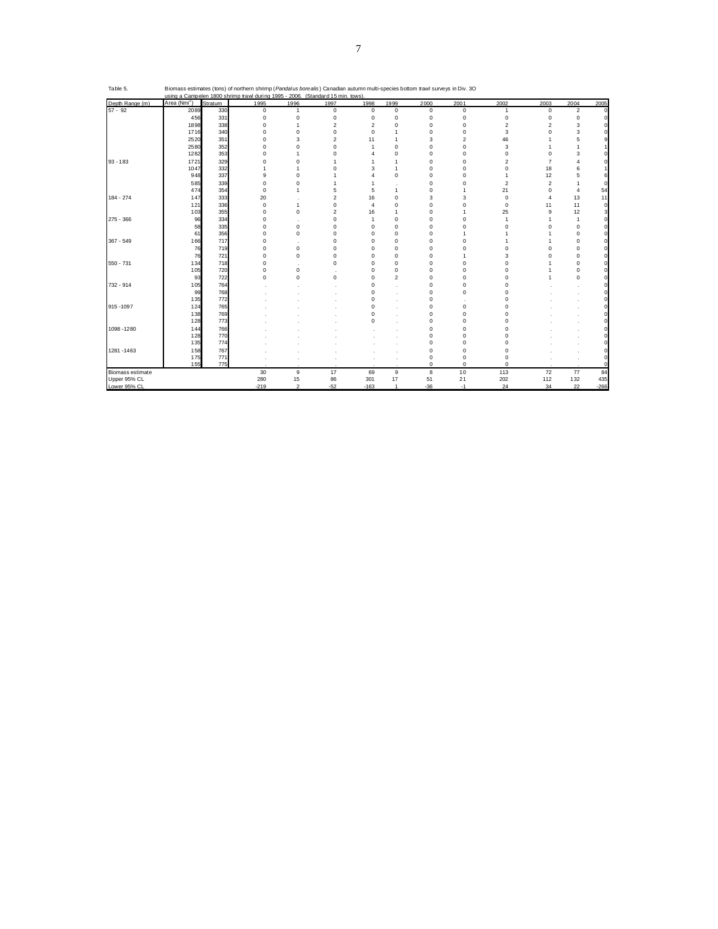|                  |                          |         | <u>using a Campelen 1800 shrimp trawl during 1995 - 2006. (Standard 15 min. tows)</u> |                |                |                |                |             |                |                         |                |                |          |
|------------------|--------------------------|---------|---------------------------------------------------------------------------------------|----------------|----------------|----------------|----------------|-------------|----------------|-------------------------|----------------|----------------|----------|
| Depth Range (m)  | Area (Nmi <sup>2</sup> ) | Stratum | 1995                                                                                  | 1996           | 1997           | 1998           | 1999           | 2000        | 2001           | 2002                    | 2003           | 2004           | 2005     |
| $57 - 92$        | 2089                     | 330     | 0                                                                                     | $\mathbf{1}$   | $\mathbf 0$    | $\mathbf 0$    | $\mathbf 0$    | $\mathbf 0$ | 0              | 1                       | 0              | $\overline{2}$ | $\Omega$ |
|                  | 456                      | 331     | $\mathbf 0$                                                                           | $\mathbf 0$    | $\mathbf 0$    | $\mathbf 0$    | $\mathbf 0$    | 0           | 0              | $\mathbf 0$             | 0              | $\mathbf 0$    |          |
|                  | 1898                     | 338     | $\Omega$                                                                              | $\overline{1}$ | $\overline{2}$ | $\mathfrak{p}$ | $\Omega$       | $\Omega$    | 0              | $\overline{\mathbf{c}}$ | $\mathfrak{p}$ | 3              |          |
|                  | 1716                     | 340     | $\mathbf 0$                                                                           | $\Omega$       | $\mathbf 0$    | $\mathbf 0$    | -1             | $\Omega$    | 0              | 3                       | $\Omega$       | 3              |          |
|                  | 2520                     | 351     | $\Omega$                                                                              | 3              | $\overline{2}$ | 11             | 1              | 3           | $\overline{2}$ | 46                      |                | 5              |          |
|                  | 2580                     | 352     | $\Omega$                                                                              |                | $\mathbf 0$    | 1              | $\Omega$       | n           | 0              | 3                       |                |                |          |
|                  | 1282                     | 353     | $\Omega$                                                                              |                | $\Omega$       |                | $\Omega$       | $\Omega$    | $\Omega$       | $\Omega$                | $\Omega$       | 3              |          |
| $93 - 183$       | 1721                     | 329     | $\Omega$                                                                              | $\Omega$       |                |                |                | $\Omega$    | 0              | $\overline{2}$          | 7              |                |          |
|                  | 1047                     | 332     |                                                                                       |                | $\Omega$       | 3              | 1              | $\Omega$    | $\Omega$       | $\Omega$                | 18             | 6              |          |
|                  | 948                      | 337     | 9                                                                                     | $\Omega$       |                |                | $\Omega$       | $\Omega$    | $\Omega$       |                         | 12             | 5              |          |
|                  | 585                      | 339     | $\Omega$                                                                              | $\Omega$       |                |                |                | $\Omega$    | $\Omega$       | $\overline{2}$          | $\overline{c}$ |                |          |
|                  | 474                      | 354     | $\Omega$                                                                              | 1              | 5              | 5              | 1              | $\Omega$    | 1              | 21                      | $\Omega$       | $\overline{4}$ | 54       |
| 184 - 274        | 147                      | 333     | 20                                                                                    |                | $\overline{2}$ | 16             | $\Omega$       | 3           | 3              | 0                       | 4              | 13             | 11       |
|                  | 121                      | 336     | $\mathbf 0$                                                                           | $\mathbf{1}$   | $\mathbf 0$    | 4              | $\Omega$       | $\Omega$    | 0              | 0                       | 11             | 11             | $\Omega$ |
|                  | 103                      | 355     | $\mathbf 0$                                                                           | $\Omega$       | $\overline{2}$ | 16             | 1              | $\Omega$    | 1              | 25                      | 9              | 12             | 3        |
| 275 - 366        | 96                       | 334     | $\Omega$                                                                              |                | $\Omega$       | 1              | $\Omega$       | $\Omega$    | $\Omega$       | 1                       |                | $\overline{1}$ |          |
|                  | 58                       | 335     | $\Omega$                                                                              | $\mathbf 0$    | $\Omega$       | $\Omega$       | $\Omega$       | $\Omega$    | $\Omega$       | $\Omega$                | $\Omega$       | $\mathbf 0$    |          |
|                  | 61                       | 356     | $\Omega$                                                                              | $\Omega$       | $\Omega$       | $\Omega$       | $\Omega$       | n           | 1              |                         |                | $\Omega$       |          |
| $367 - 549$      | 166                      | 717     | $\Omega$                                                                              |                | $\Omega$       | O              | $\Omega$       | n           | $\Omega$       |                         |                | $\mathbf 0$    |          |
|                  | 76                       | 719     | $\mathbf 0$                                                                           | $\Omega$       | $\Omega$       | O              | $\Omega$       | n           | $\Omega$       | 0                       | $\Omega$       | $\Omega$       |          |
|                  | 76                       | 721     | $\mathbf 0$                                                                           | $\mathbf 0$    | $\mathbf 0$    | $\Omega$       | $\Omega$       | n           |                | 3                       | 0              | $\Omega$       |          |
| 550 - 731        | 134                      | 718     | $\Omega$                                                                              |                | $\mathbf 0$    | $\Omega$       | $\Omega$       | $\Omega$    | 0              | $\Omega$                |                | $\mathbf 0$    |          |
|                  | 105                      | 720     | $\Omega$                                                                              | $\mathbf 0$    |                | $\Omega$       | $\Omega$       | $\Omega$    | $\Omega$       | $\Omega$                |                | $\Omega$       |          |
|                  | 93                       | 722     | $\mathbf 0$                                                                           | $\Omega$       | $\mathbf 0$    | n              | $\overline{2}$ | n           | 0              | $\Omega$                |                | $\mathbf 0$    |          |
| 732 - 914        | 105                      | 764     |                                                                                       |                |                | $\Omega$       |                | $\Omega$    | 0              | 0                       |                |                |          |
|                  | 99                       | 768     |                                                                                       |                |                | O              |                | n           | 0              | 0                       |                |                |          |
|                  | 135                      | 772     |                                                                                       |                |                | C              |                | $\Omega$    |                | O                       |                |                |          |
| 915 - 1097       | 124                      | 765     |                                                                                       |                |                | r              |                | $\Omega$    | 0              | $\Omega$                |                |                |          |
|                  | 138                      | 769     |                                                                                       |                |                | ٢              |                | $\Omega$    | $\Omega$       | O                       |                |                |          |
|                  | 128                      | 773     |                                                                                       |                |                | ٢              |                | $\Omega$    | 0              | n                       |                |                |          |
| 1098 - 1280      | 144                      | 766     |                                                                                       |                |                |                |                | $\Omega$    | $\Omega$       | n                       |                |                |          |
|                  | 128                      | 770     |                                                                                       |                |                |                |                |             | 0              |                         |                |                |          |
|                  | 135                      | 774     |                                                                                       |                |                |                |                | $\Omega$    | 0              | O                       |                |                |          |
| 1281 - 1463      | 158                      | 767     |                                                                                       |                |                |                |                | $\Omega$    | O              |                         |                |                |          |
|                  | 175                      | 771     |                                                                                       |                |                |                |                | $\Omega$    | 0              | O                       |                |                |          |
|                  | 155                      | 775     |                                                                                       |                |                |                |                | $\mathbf 0$ | $\Omega$       | $\Omega$                |                |                |          |
| Biomass estimate |                          |         | 30                                                                                    | 9              | 17             | 69             | 9              | 8           | 10             | 113                     | 72             | 77             | 84       |
| Upper 95% CL     |                          |         | 280                                                                                   | 15             | 86             | 301            | 17             | 51          | 21             | 202                     | 112            | 132            | 435      |
| Lower 95% CL     |                          |         | $-219$                                                                                | $\mathfrak{D}$ | $-52$          | $-163$         | $\overline{1}$ | $-36$       | $-1$           | 24                      | 34             | 22             | $-266$   |

Table 5. Biomass estimates (tons) of northern shrimp (*Pandalus borealis*) Canadian autumn multi-species bottom trawl surveys in Div. 3O<br>using a Campelen 1800 shrimp trawl during 1995 - 2006. (Standard 15 min. tows).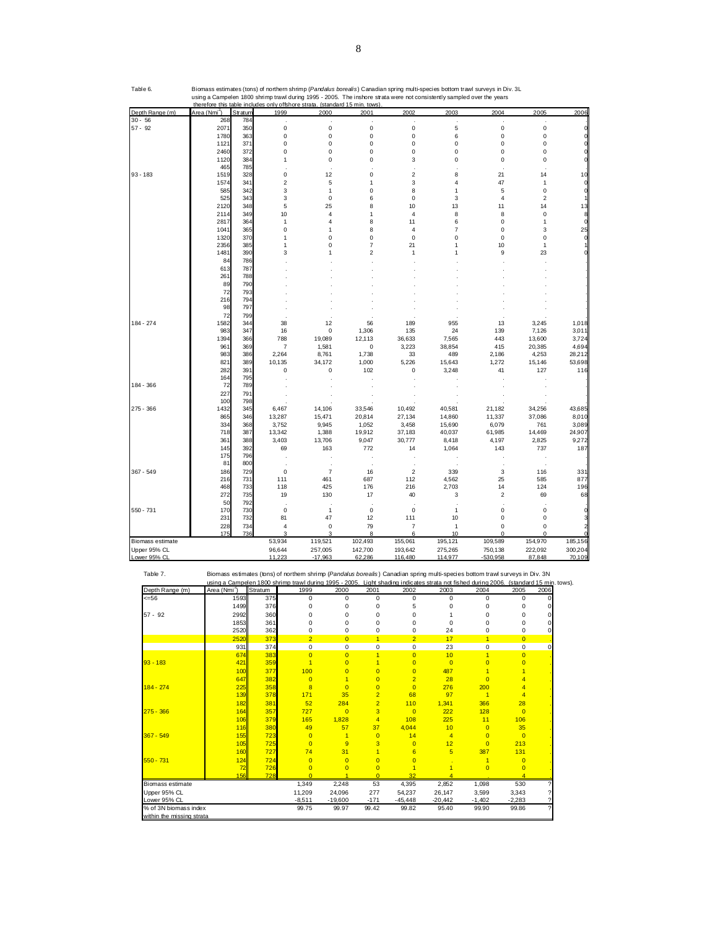|                           | 228                      | 734     | 4              | $\mathbf 0$    | 79             | $\overline{7}$ | 1              | 0                                                                                                                                      |                     | $\Omega$ |         |
|---------------------------|--------------------------|---------|----------------|----------------|----------------|----------------|----------------|----------------------------------------------------------------------------------------------------------------------------------------|---------------------|----------|---------|
|                           | 175                      | 736     |                | ٠              | 8              | 6              | 10             | $\Omega$                                                                                                                               |                     | n        |         |
| Biomass estimate          |                          | 53,934  |                | 119,521        | 102,493        | 155,061        | 195,121        | 109,589                                                                                                                                |                     | 154,970  | 185,156 |
| Upper 95% CL              |                          | 96,644  |                | 257,005        | 142,700        | 193,642        | 275,265        | 750,138                                                                                                                                |                     | 222,092  | 300,204 |
| Lower 95% CL              |                          | 11,223  |                | $-17,963$      | 62,286         | 116,480        | 114,977        | $-530.958$                                                                                                                             |                     | 87,848   | 70,109  |
| Table 7.                  |                          |         |                |                |                |                |                | Biomass estimates (tons) of northern shrimp (Pandalus borealis) Canadian spring multi-species bottom trawl surveys in Div. 3N          |                     |          |         |
|                           |                          |         |                |                |                |                |                | using a Campelen 1800 shrimp trawl during 1995 - 2005. Light shading indicates strata not fished during 2006. (standard 15 min. tows). |                     |          |         |
| Depth Range (m)           | Area (Nmi <sup>5</sup> ) | Stratum | 1999           | 2000           | 2001           | 2002           | 2003           | 2004                                                                                                                                   | 2005                | 2006     |         |
| $= 56$                    | 1593                     | 375     | 0              | 0              | 0              | 0              | $\mathbf 0$    | 0                                                                                                                                      | 0                   | n        |         |
|                           | 1499                     | 376     | 0              | $\Omega$       | 0              | 5              | 0              | $\Omega$                                                                                                                               | $\Omega$            |          |         |
| $57 - 92$                 | 2992                     | 360     | 0              | $\Omega$       | $\Omega$       | 0              |                | 0                                                                                                                                      | 0                   |          |         |
|                           | 1853                     | 361     | 0              | $\Omega$       | $\Omega$       | 0              | 0              | 0                                                                                                                                      | $\Omega$            |          |         |
|                           | 2520                     | 362     | 0              | $\mathbf 0$    | 0              | 0              | 24             | 0                                                                                                                                      | 0                   |          |         |
|                           | 2520                     | 373     | $\overline{2}$ | $\Omega$       | 1              | $\overline{2}$ | 17             | 1                                                                                                                                      | $\overline{0}$      |          |         |
|                           | 931                      | 374     | 0              | $\mathbf 0$    | 0              | $\mathbf 0$    | 23             | 0                                                                                                                                      | 0                   | n        |         |
|                           | 674                      | 383     | $\overline{0}$ | $\overline{0}$ | $\overline{1}$ | $\overline{0}$ | 10             | $\overline{1}$                                                                                                                         | $\overline{0}$      |          |         |
| $93 - 183$                | 421                      | 359     | $\overline{1}$ | $\Omega$       | $\blacksquare$ | $\overline{0}$ | $\overline{0}$ | $\overline{0}$                                                                                                                         | $\Omega$            |          |         |
|                           | 100                      | 377     | 100            | $\Omega$       | $\overline{0}$ | $\overline{0}$ | 487            |                                                                                                                                        |                     |          |         |
|                           | 647                      | 382     | $\Omega$       | 1              | $\overline{0}$ | $\overline{2}$ | 28             | $\Omega$                                                                                                                               |                     |          |         |
| 184 - 274                 | 225                      | 358     | 8              | $\Omega$       | $\overline{0}$ | $\overline{0}$ | 276            | 200                                                                                                                                    |                     |          |         |
|                           | 139                      | 378     | 171            | 35             | $\overline{2}$ | 68             | 97             | $\overline{1}$                                                                                                                         | $\overline{4}$      |          |         |
|                           | 182                      | 381     | 52             | 284            | $\overline{2}$ | 110            | 1,341          | 366                                                                                                                                    | 28                  |          |         |
| $275 - 366$               | 164                      | 357     | 727            | $\Omega$       | 3              | $\Omega$       | 222            | 128                                                                                                                                    | $\Omega$            |          |         |
|                           | 106                      | 379     | 165            | 1,828          | 4              | 108            | 225            | 11                                                                                                                                     | 106                 |          |         |
|                           | 116                      | 380     | 49             | 57             | 37             | 4,044          | 10             | $\overline{0}$                                                                                                                         | 35                  |          |         |
| 367 - 549                 | 155                      | 723     | $\overline{0}$ | $\overline{1}$ | $\overline{0}$ | 14             | $\overline{4}$ | $\overline{0}$                                                                                                                         | $\Omega$            |          |         |
|                           | 105                      | 725     | $\overline{0}$ | 9              | 3              | $\overline{0}$ | 12             | $\overline{0}$                                                                                                                         | 213                 |          |         |
|                           | 160                      | 727     | 74             | 31             | 1              | 6              | 5              | 387                                                                                                                                    | 131                 |          |         |
| 550 - 731                 | 124                      | 724     | $\overline{0}$ | $\overline{0}$ | $\overline{0}$ | $\overline{0}$ |                | 1                                                                                                                                      | $\overline{0}$      |          |         |
|                           | 72                       | 726     | $\Omega$       | $\Omega$       | $\Omega$       |                |                | $\overline{0}$                                                                                                                         | $\Omega$            |          |         |
|                           | 156                      | 728     | $\Omega$       |                | $\Omega$       | 32             | $\overline{4}$ |                                                                                                                                        | $\overline{\bf{4}}$ |          |         |
| Biomass estimate          |                          |         | 1,349          | 2,248          | 53             | 4,395          | 2,852          | 1,098                                                                                                                                  | 530                 |          |         |
| Upper 95% CL              |                          |         | 11,209         | 24,096         | 277            | 54,237         | 26,147         | 3,599                                                                                                                                  | 3,343               |          |         |
| Lower 95% CL              |                          |         | $-8,511$       | $-19,600$      | $-171$         | $-45,448$      | $-20,442$      | $-1,402$                                                                                                                               | $-2,283$            |          |         |
| % of 3N biomass index     |                          |         | 99.75          | 99.97          | 99.42          | 99.82          | 95.40          | 99.90                                                                                                                                  | 99.86               |          |         |
| within the missing strata |                          |         |                |                |                |                |                |                                                                                                                                        |                     |          |         |

| Depth Range (m)   | Area (Nmi") | Stratum    | 1999                    | 2000            | 2001            | 2002                    | 2003            | 2004            | 2005                    | 2006            |
|-------------------|-------------|------------|-------------------------|-----------------|-----------------|-------------------------|-----------------|-----------------|-------------------------|-----------------|
| $30 - 56$         | 268         | 784        |                         |                 |                 |                         |                 |                 |                         |                 |
| $57 - 92$         | 2071        | 350        | 0                       | $\mathbf 0$     | $\mathbf 0$     | 0                       | 5               | $\pmb{0}$       | $\mathbf 0$             |                 |
|                   | 1780        | 363        | 0                       | $\mathbf 0$     | $\pmb{0}$       | 0                       | 6               | 0               | $\mathbf 0$             |                 |
|                   | 1121        | 371        | 0                       | $\mathbf 0$     | 0               | 0                       | $\mathbf 0$     | 0               | 0                       |                 |
|                   | 2460        | 372        | 0                       | $\mathbf 0$     | $\pmb{0}$       | 0                       | 0               | 0               | 0                       |                 |
|                   | 1120        | 384        | 1                       | $\mathbf 0$     | $\mathbf 0$     | 3                       | $\mathbf 0$     | $\mathbf 0$     | $\mathbf 0$             |                 |
|                   | 465         | 785        |                         |                 |                 |                         |                 |                 |                         |                 |
| $93 - 183$        | 1519        | 328        | $\mathbf 0$             | 12              | $\pmb{0}$       | $\overline{\mathbf{c}}$ | 8               | 21              | 14                      | 10              |
|                   | 1574        | 341        | $\overline{\mathbf{c}}$ | 5               | 1               | 3                       | 4               | 47              | 1                       |                 |
|                   | 585         | 342        | 3                       | $\overline{1}$  | 0               | 8                       | 1               | 5               | $\mathbf 0$             |                 |
|                   | 525         | 343        | 3                       | $\mathbf 0$     | 6               | 0                       | 3               | $\overline{4}$  | $\overline{\mathbf{c}}$ | 1               |
|                   | 2120        | 348        | 5                       | 25              | 8               | 10                      | 13              | 11              | 14                      | 13              |
|                   | 2114        | 349        | 10                      | $\overline{4}$  | 1               | 4                       | 8               | 8               | $\mathbf 0$             |                 |
|                   | 2817        | 364        | 1                       | 4               | 8               | 11                      | 6               | 0               | 1                       | 0               |
|                   | 1041        | 365        | 0                       | 1               | 8               | 4                       | 7               | 0               | 3                       | 25              |
|                   | 1320        | 370        | 1                       | n               | 0               | 0                       | 0               | 0               | 0                       |                 |
|                   | 2356        | 385        | 1                       | O               | 7               | 21                      | 1               | 10              | 1                       |                 |
|                   | 1481        | 390        | 3                       |                 | 2               |                         |                 | 9               | 23                      |                 |
|                   | 84          | 786        |                         |                 |                 |                         |                 |                 |                         |                 |
|                   | 613         | 787        |                         |                 |                 |                         |                 |                 |                         |                 |
|                   | 261         | 788        |                         |                 |                 |                         |                 |                 |                         |                 |
|                   | 89          | 790        |                         |                 |                 |                         |                 |                 |                         |                 |
|                   | 72          | 793        |                         |                 |                 |                         |                 |                 |                         |                 |
|                   | 216         | 794        |                         |                 |                 |                         |                 |                 |                         |                 |
|                   | 98          | 797        |                         |                 |                 |                         |                 |                 |                         |                 |
|                   | 72          | 799        |                         |                 |                 |                         |                 |                 |                         |                 |
| 184 - 274         | 1582        | 344        | 38                      | 12              | 56              | 189                     | 955             | 13              | 3,245                   | 1,018           |
|                   | 983         | 347        | 16                      | $\mathbf 0$     | 1,306           | 135                     | 24              | 139             | 7,126                   | 3,011           |
|                   | 1394        | 366        | 788                     | 19,089          | 12,113          | 36,633                  | 7,565           | 443             | 13,600                  | 3,724           |
|                   | 961         | 369        | $\overline{7}$          | 1,581           | $\pmb{0}$       | 3,223                   | 38,854          | 415             | 20,385                  | 4,694           |
|                   | 983         | 386        | 2,264                   | 8,761           | 1,738           | 33                      | 489             | 2,186           | 4,253                   | 28,212          |
|                   | 821         | 389        | 10,135                  | 34,172          | 1,000           | 5,226                   | 15,643          | 1,272           | 15,146                  | 53,698          |
|                   | 282         | 391        | $\mathbf 0$             | $\mathbf 0$     | 102             | 0                       | 3,248           | 41              | 127                     | 116             |
|                   | 164         | 795        |                         |                 |                 |                         |                 |                 |                         |                 |
| 184 - 366         | 72          | 789        |                         |                 |                 |                         |                 |                 |                         |                 |
|                   | 227         | 791        |                         |                 |                 |                         |                 |                 |                         |                 |
|                   | 100         | 798        |                         |                 |                 |                         |                 |                 |                         |                 |
| 275 - 366         | 1432        | 345        | 6,467                   | 14,106          | 33,546          | 10,492                  | 40,581          | 21,182          | 34,256                  | 43,685          |
|                   | 865         | 346        | 13,287                  | 15,471          | 20,814          | 27,134                  | 14,860          | 11,337          | 37,086                  | 8,010           |
|                   | 334         | 368        | 3,752<br>13,342         | 9,945           | 1,052           | 3,458                   | 15,690          | 6,079<br>61,985 | 761                     | 3,089<br>24,907 |
|                   | 718<br>361  | 387<br>388 | 3,403                   | 1,388<br>13,706 | 19,912<br>9,047 | 37,183<br>30,777        | 40,037<br>8,418 | 4,197           | 14,469<br>2,825         | 9,272           |
|                   |             | 392        | 69                      | 163             | 772             | 14                      |                 | 143             | 737                     | 187             |
|                   | 145<br>175  | 796        |                         |                 |                 |                         | 1,064           |                 |                         |                 |
|                   | 81          | 800        |                         |                 |                 |                         |                 |                 |                         |                 |
| $367 - 549$       | 186         | 729        | $\mathbf 0$             | 7               | 16              | 2                       | 339             | 3               | 116                     | 331             |
|                   | 216         | 731        | 111                     | 461             | 687             | 112                     | 4,562           | 25              | 585                     | 877             |
|                   | 468         | 733        | 118                     | 425             | 176             | 216                     | 2,703           | 14              | 124                     | 196             |
|                   | 272         | 735        | 19                      | 130             | 17              | 40                      | 3               | $\overline{2}$  | 69                      | 68              |
|                   | 50          | 792        |                         |                 |                 |                         |                 |                 |                         |                 |
| 550 - 731         | 170         | 730        | $\mathbf 0$             | $\mathbf{1}$    | 0               | 0                       | 1               | 0               | 0                       |                 |
|                   | 231         | 732        | 81                      | 47              | 12              | 111                     | 10              | 0               | 0                       |                 |
|                   | 228         | 734        | 4                       | $\mathbf 0$     | 79              | $\overline{7}$          | $\mathbf{1}$    | $\mathbf 0$     | 0                       | $\overline{2}$  |
|                   | 175         | 736        |                         |                 | 8               | 6                       | 10              | $\Omega$        |                         |                 |
| Biomass estimate  |             |            | 53,934                  | 119,521         | 102,493         | 155,061                 | 195,121         | 109,589         | 154,970                 | 185,156         |
| Upper 95% CL      |             |            | 96,644                  | 257,005         | 142,700         | 193,642                 | 275,265         | 750,138         | 222,092                 | 300,204         |
| $L$ Quar Q5% $Cl$ |             |            | 11.223                  | $-17.082$       | 62296           | 116.480                 | 114.077         | 530.058         | 97949                   | <b>70100</b>    |

Table 6. Biomass estimates (tons) of northern shrimp (*Pandalus borealis*) Canadian spring multi-species bottom trawl surveys in Div. 3L<br>using a Campelen 1800 shrimp trawl during 1995 - 2005. The inshore strata were not co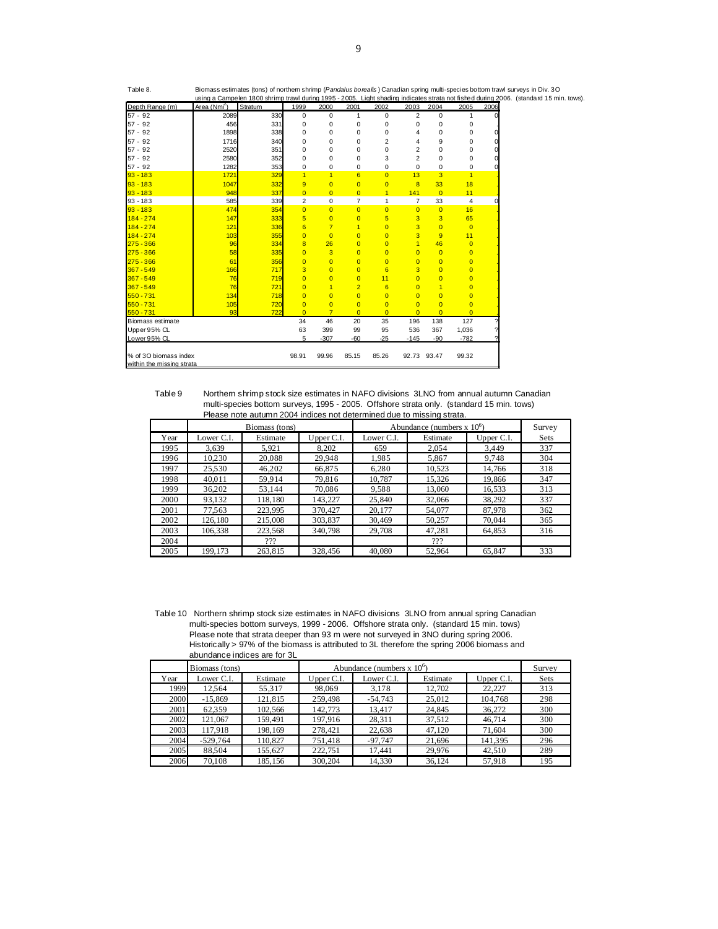|                           |                          |         |                |                |                |                |                |                |                |      | using a Campelen 1800 shrimp trawl during 1995 - 2005. Light shading indicates strata not fished during 2006. (standard 15 min. tows). |
|---------------------------|--------------------------|---------|----------------|----------------|----------------|----------------|----------------|----------------|----------------|------|----------------------------------------------------------------------------------------------------------------------------------------|
| Depth Range (m)           | Area (Nmi <sup>2</sup> ) | Stratum | 1999           | 2000           | 2001           | 2002           | 2003           | 2004           | 2005           | 2006 |                                                                                                                                        |
| $57 - 92$                 | 2089                     | 330     | 0              | $\mathbf 0$    | $\mathbf{1}$   | 0              | 2              | 0              | 1              | 0l   |                                                                                                                                        |
| $57 - 92$                 | 456                      | 331     | 0              | $\mathbf 0$    | $\mathbf 0$    | 0              | 0              | 0              | 0              |      |                                                                                                                                        |
| $57 - 92$                 | 1898                     | 338     | 0              | $\mathbf 0$    | 0              | 0              | 4              | 0              | $\mathbf 0$    | 0l   |                                                                                                                                        |
| $57 - 92$                 | <b>1716</b>              | 340     | 0              | $\mathbf 0$    | 0              | 2              | 4              | 9              | 0              | ΩI   |                                                                                                                                        |
| $57 - 92$                 | 2520                     | 351     | 0              | $\Omega$       | 0              | 0              | $\overline{2}$ | 0              | 0              | 0l   |                                                                                                                                        |
| $57 - 92$                 | 2580                     | 352     | $\Omega$       | $\mathbf 0$    | 0              | 3              | $\overline{2}$ | 0              | $\mathbf 0$    | 0l   |                                                                                                                                        |
| $57 - 92$                 | 1282                     | 353     | 0              | 0              | 0              | 0              | 0              | 0              | 0              | ΩI   |                                                                                                                                        |
| $93 - 183$                | 1721                     | 329     | $\overline{1}$ | $\overline{1}$ | 6              | $\overline{0}$ | 13             | 3              | $\overline{1}$ |      |                                                                                                                                        |
| $93 - 183$                | 1047                     | 332     | 9              | $\overline{0}$ | $\overline{0}$ | $\overline{0}$ | $\overline{8}$ | 33             | 18             |      |                                                                                                                                        |
| $93 - 183$                | 948                      | 337     | $\overline{0}$ | $\overline{0}$ | $\overline{0}$ | $\mathbf{1}$   | 141            | $\overline{0}$ | 11             |      |                                                                                                                                        |
| 93 - 183                  | 585                      | 339     | 2              | 0              | 7              | $\mathbf{1}$   | 7              | 33             | 4              | ΩI   |                                                                                                                                        |
| $93 - 183$                | 474                      | 354     | $\Omega$       | $\Omega$       | $\overline{0}$ | $\overline{0}$ | $\overline{0}$ | $\overline{0}$ | 16             |      |                                                                                                                                        |
| $184 - 274$               | 147                      | 333     | 5              | $\overline{0}$ | $\overline{0}$ | 5              | 3              | 3              | 65             |      |                                                                                                                                        |
| $184 - 274$               | 121                      | 336     | 6              | $\overline{7}$ | $\overline{1}$ | $\overline{0}$ | 3              | $\Omega$       | $\overline{0}$ |      |                                                                                                                                        |
| $184 - 274$               | 103                      | 355     | $\overline{0}$ | $\overline{0}$ | $\overline{0}$ | $\overline{0}$ | 3              | 9              | 11             |      |                                                                                                                                        |
| $275 - 366$               | 96                       | 334     | 8              | 26             | $\overline{0}$ | $\overline{0}$ | $\overline{1}$ | 46             | $\overline{0}$ |      |                                                                                                                                        |
| $275 - 366$               | 58                       | 335     | $\Omega$       | 3              | $\overline{0}$ | $\overline{0}$ | $\Omega$       | $\overline{0}$ | $\overline{0}$ |      |                                                                                                                                        |
| $275 - 366$               | 61                       | 356     | $\overline{0}$ | $\overline{0}$ | $\overline{0}$ | $\overline{0}$ | $\Omega$       | $\overline{0}$ | $\overline{0}$ |      |                                                                                                                                        |
| $367 - 549$               | 166                      | 717     | 3              | $\Omega$       | $\overline{0}$ | 6              | 3              | $\Omega$       | $\overline{0}$ |      |                                                                                                                                        |
| $367 - 549$               | 76                       | 719     | $\Omega$       | $\Omega$       | $\overline{0}$ | 11             | $\Omega$       | $\overline{0}$ | $\overline{0}$ |      |                                                                                                                                        |
| $367 - 549$               | 76                       | 721     | $\overline{0}$ | $\overline{1}$ | $\overline{2}$ | $6\phantom{1}$ | $\overline{0}$ | $\overline{1}$ | $\overline{0}$ |      |                                                                                                                                        |
| $550 - 731$               | 134                      | 718     | $\Omega$       | $\Omega$       | $\overline{0}$ | $\overline{0}$ | $\Omega$       | $\Omega$       | $\overline{0}$ |      |                                                                                                                                        |
| $550 - 731$               | 105                      | 720     | $\overline{0}$ | $\Omega$       | $\overline{0}$ | $\overline{0}$ | $\Omega$       | $\overline{0}$ | $\overline{0}$ |      |                                                                                                                                        |
| $550 - 731$               | 93                       | 722     | $\Omega$       | $\overline{7}$ | $\Omega$       | $\overline{0}$ | $\Omega$       | $\Omega$       | $\Omega$       |      |                                                                                                                                        |
| Biomass estimate          |                          |         | 34             | 46             | 20             | 35             | 196            | 138            | 127            |      |                                                                                                                                        |
| Upper 95% CL              |                          |         | 63             | 399            | 99             | 95             | 536            | 367            | 1,036          |      |                                                                                                                                        |
| Lower 95% CL              |                          |         | 5              | $-307$         | $-60$          | $-25$          | $-145$         | $-90$          | $-782$         |      |                                                                                                                                        |
|                           |                          |         |                |                |                |                |                |                |                |      |                                                                                                                                        |
| % of 3O biomass index     |                          |         | 98.91          | 99.96          | 85.15          | 85.26          | 92.73          | 93.47          | 99.32          |      |                                                                                                                                        |
| within the missing strata |                          |         |                |                |                |                |                |                |                |      |                                                                                                                                        |

 Please note autumn 2004 indices not determined due to missing strata. Table 9 Northem shrimp stock size estimates in NAFO divisions 3LNO from annual autumn Canadian multi-species bottom surveys, 1995 - 2005. Offshore strata only. (standard 15 min. tows)

|      |            | Biomass (tons) |            |            | Abundance (numbers $x 106$ ) |            | Survey      |
|------|------------|----------------|------------|------------|------------------------------|------------|-------------|
| Year | Lower C.I. | Estimate       | Upper C.I. | Lower C.I. | Estimate                     | Upper C.I. | <b>Sets</b> |
| 1995 | 3.639      | 5.921          | 8.202      | 659        | 2.054                        | 3.449      | 337         |
| 1996 | 10,230     | 20,088         | 29.948     | 1,985      | 5,867                        | 9.748      | 304         |
| 1997 | 25,530     | 46.202         | 66,875     | 6,280      | 10,523                       | 14.766     | 318         |
| 1998 | 40.011     | 59.914         | 79.816     | 10.787     | 15.326                       | 19.866     | 347         |
| 1999 | 36.202     | 53,144         | 70.086     | 9,588      | 13,060                       | 16.533     | 313         |
| 2000 | 93,132     | 118,180        | 143,227    | 25,840     | 32,066                       | 38,292     | 337         |
| 2001 | 77,563     | 223.995        | 370,427    | 20,177     | 54,077                       | 87,978     | 362         |
| 2002 | 126.180    | 215,008        | 303,837    | 30.469     | 50,257                       | 70,044     | 365         |
| 2003 | 106,338    | 223,568        | 340,798    | 29,708     | 47,281                       | 64,853     | 316         |
| 2004 |            | ???            |            |            | ???                          |            |             |
| 2005 | 199.173    | 263.815        | 328.456    | 40,080     | 52.964                       | 65,847     | 333         |

Please note that strata deeper than 93 m were not surveyed in 3NO during spring 2006. Historically > 97% of the biomass is attributed to 3L therefore the spring 2006 biomass and abundance indices are for 3L Table 10 Northern shrimp stock size estimates in NAFO divisions 3LNO from annual spring Canadian multi-species bottom surveys, 1999 - 2006. Offshore strata only. (standard 15 min. tows)

|      | Biomass (tons) |          |              | Abundance (numbers $x 10^6$ ) |          |            | Survey      |
|------|----------------|----------|--------------|-------------------------------|----------|------------|-------------|
| Year | Lower C.I.     | Estimate | Upper $C.I.$ | Lower C.I.                    | Estimate | Upper C.I. | <b>Sets</b> |
| 1999 | 12,564         | 55,317   | 98,069       | 3,178                         | 12,702   | 22.227     | 313         |
| 2000 | $-15,869$      | 121,815  | 259,498      | $-54,743$                     | 25,012   | 104,768    | 298         |
| 2001 | 62,359         | 102,566  | 142,773      | 13,417                        | 24,845   | 36,272     | 300         |
| 2002 | 121.067        | 159.491  | 197,916      | 28,311                        | 37.512   | 46.714     | 300         |
| 2003 | 117.918        | 198.169  | 278,421      | 22,638                        | 47,120   | 71,604     | 300         |
| 2004 | $-529.764$     | 110,827  | 751.418      | $-97,747$                     | 21.696   | 141,395    | 296         |
| 2005 | 88,504         | 155,627  | 222,751      | 17,441                        | 29,976   | 42,510     | 289         |
| 2006 | 70,108         | 185.156  | 300,204      | 14.330                        | 36.124   | 57.918     | 195         |

Table 8. Biomass estimates (tons) of northern shrimp (*Pandalus borealis* ) Canadian spring multi-species bottom trawl surveys in Div. 3O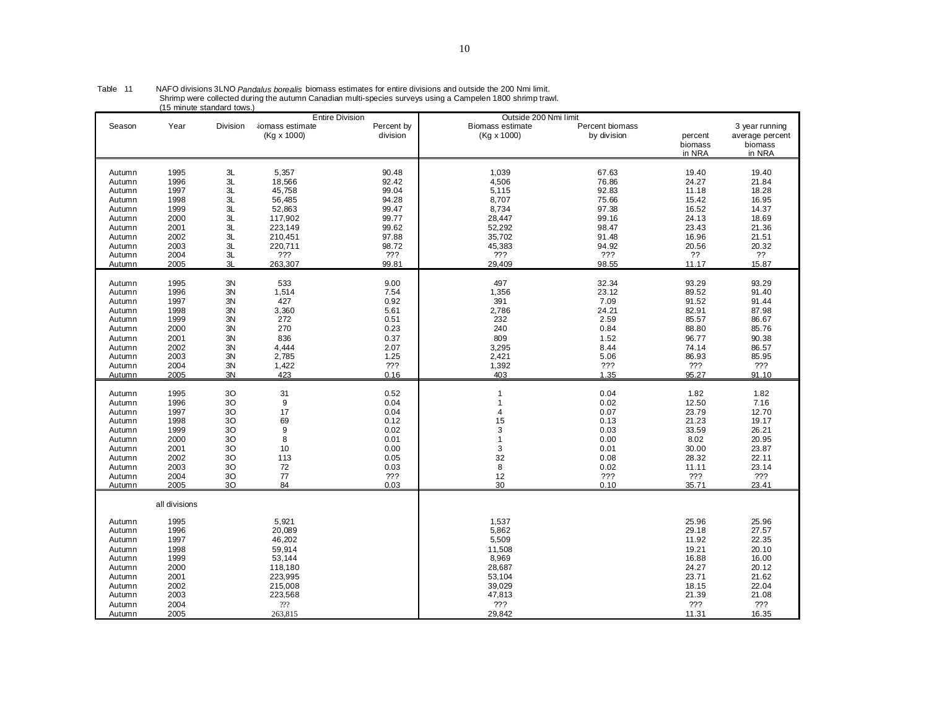|               |               | ro minule standard tows. |                  |                                      | Outside 200 Nmi limit   |                 |         |                 |
|---------------|---------------|--------------------------|------------------|--------------------------------------|-------------------------|-----------------|---------|-----------------|
| Season        | Year          | <b>Division</b>          | iomass estimate  | <b>Entire Division</b><br>Percent by | <b>Biomass estimate</b> | Percent biomass |         | 3 year running  |
|               |               |                          |                  |                                      |                         |                 |         |                 |
|               |               |                          | (Kg x 1000)      | division                             | (Kg x 1000)             | by division     | percent | average percent |
|               |               |                          |                  |                                      |                         |                 | biomass | biomass         |
|               |               |                          |                  |                                      |                         |                 | in NRA  | in NRA          |
|               |               |                          |                  |                                      |                         |                 |         |                 |
| Autumn        | 1995          | 3L                       | 5,357            | 90.48                                | 1,039                   | 67.63           | 19.40   | 19.40           |
| Autumn        | 1996          | 3L                       | 18,566           | 92.42                                | 4,506                   | 76.86           | 24.27   | 21.84           |
| Autumn        | 1997          | 3L                       | 45,758           | 99.04                                | 5,115                   | 92.83           | 11.18   | 18.28           |
| Autumn        | 1998          | 3L                       | 56,485           | 94.28                                | 8,707                   | 75.66           | 15.42   | 16.95           |
| Autumn        | 1999          | 3L                       | 52,863           | 99.47                                | 8,734                   | 97.38           | 16.52   | 14.37           |
| Autumn        | 2000          | 3L                       | 117,902          | 99.77                                | 28,447                  | 99.16           | 24.13   | 18.69           |
| Autumn        | 2001          | 3L                       | 223,149          | 99.62                                | 52,292                  | 98.47           | 23.43   | 21.36           |
| Autumn        | 2002          | 3L                       | 210,451          | 97.88                                | 35,702                  | 91.48           | 16.96   | 21.51           |
| Autumn        | 2003          | 3L                       | 220,711          | 98.72                                | 45,383                  | 94.92           | 20.56   | 20.32           |
| Autumn        | 2004          | 3L                       | ???              | ???                                  | ???                     | ???             | ??      | ??              |
| Autumn        | 2005          | 3L                       | 263,307          | 99.81                                | 29,409                  | 98.55           | 11.17   | 15.87           |
|               |               |                          |                  |                                      |                         |                 |         |                 |
| Autumn        | 1995          | 3N                       | 533              | 9.00                                 | 497                     | 32.34           | 93.29   | 93.29           |
| Autumn        | 1996          | 3N                       | 1,514            | 7.54                                 | 1,356                   | 23.12           | 89.52   | 91.40           |
| Autumn        | 1997          | 3N                       | 427              | 0.92                                 | 391                     | 7.09            | 91.52   | 91.44           |
| Autumn        | 1998          | 3N                       | 3,360            | 5.61                                 | 2,786                   | 24.21           | 82.91   | 87.98           |
| Autumn        | 1999          | 3N                       | 272              | 0.51                                 | 232                     | 2.59            | 85.57   | 86.67           |
| Autumn        | 2000          | 3N                       | 270              | 0.23                                 | 240                     | 0.84            | 88.80   | 85.76           |
| Autumn        | 2001          | 3N                       | 836              | 0.37                                 | 809                     | 1.52            | 96.77   | 90.38           |
| Autumn        | 2002          | 3N                       | 4,444            | 2.07                                 | 3,295                   | 8.44            | 74.14   | 86.57           |
|               | 2003          | 3N                       | 2,785            | 1.25                                 | 2,421                   | 5.06            | 86.93   | 85.95           |
| Autumn        |               |                          |                  |                                      |                         |                 |         |                 |
| Autumn        | 2004          | 3N                       | 1,422            | ???                                  | 1,392                   | ???             | 222     | ???             |
| <u>Autumn</u> | 2005          | 3N                       | 423              | 0.16                                 | 403                     | 1.35            | 95.27   | 91.10           |
| Autumn        | 1995          | 3O                       | 31               | 0.52                                 | $\overline{1}$          | 0.04            | 1.82    | 1.82            |
| Autumn        | 1996          | 3O                       | $\boldsymbol{9}$ | 0.04                                 | 1                       | 0.02            | 12.50   | 7.16            |
|               |               | 30                       | 17               | 0.04                                 | 4                       |                 | 23.79   | 12.70           |
| Autumn        | 1997          |                          | 69               |                                      | 15                      | 0.07            |         |                 |
| Autumn        | 1998          | 30                       |                  | 0.12                                 |                         | 0.13            | 21.23   | 19.17           |
| Autumn        | 1999          | 3O                       | 9                | 0.02                                 | 3                       | 0.03            | 33.59   | 26.21           |
| Autumn        | 2000          | 30                       | 8                | 0.01                                 | $\mathbf{1}$            | 0.00            | 8.02    | 20.95           |
| Autumn        | 2001          | 30                       | 10               | 0.00                                 | 3                       | 0.01            | 30.00   | 23.87           |
| Autumn        | 2002          | 30                       | 113              | 0.05                                 | 32                      | 0.08            | 28.32   | 22.11           |
| Autumn        | 2003          | 3O                       | 72               | 0.03                                 | 8                       | 0.02            | 11.11   | 23.14           |
| Autumn        | 2004          | 30                       | 77               | ???                                  | 12                      | ???             | ???     | ???             |
| Autumn        | 2005          | 30                       | 84               | 0.03                                 | 30                      | 0.10            | 35.71   | 23.41           |
|               | all divisions |                          |                  |                                      |                         |                 |         |                 |
|               |               |                          |                  |                                      |                         |                 |         |                 |
| Autumn        | 1995          |                          | 5,921            |                                      | 1,537                   |                 | 25.96   | 25.96           |
| Autumn        | 1996          |                          | 20,089           |                                      | 5,862                   |                 | 29.18   | 27.57           |
| Autumn        | 1997          |                          | 46,202           |                                      | 5,509                   |                 | 11.92   | 22.35           |
| Autumn        | 1998          |                          | 59,914           |                                      | 11,508                  |                 | 19.21   | 20.10           |
| Autumn        | 1999          |                          | 53,144           |                                      | 8,969                   |                 | 16.88   | 16.00           |
| Autumn        | 2000          |                          | 118,180          |                                      | 28,687                  |                 | 24.27   | 20.12           |
| Autumn        | 2001          |                          | 223,995          |                                      | 53,104                  |                 | 23.71   | 21.62           |
| Autumn        | 2002          |                          | 215,008          |                                      | 39,029                  |                 | 18.15   | 22.04           |
| Autumn        | 2003          |                          | 223,568          |                                      | 47,813                  |                 | 21.39   | 21.08           |
| Autumn        | 2004          |                          | 222              |                                      | ???                     |                 | ???     | ???             |
| Autumn        | 2005          |                          | 263,815          |                                      | 29,842                  |                 | 11.31   | 16.35           |

Table 11 MAFO divisions 3LNO *Pandalus borealis* biomass estimates for entire divisions and outside the 200 Nmi limit.<br>Shrimp were collected during the autumn Canadian multi-species surveys using a Campelen 1800 shrimp tra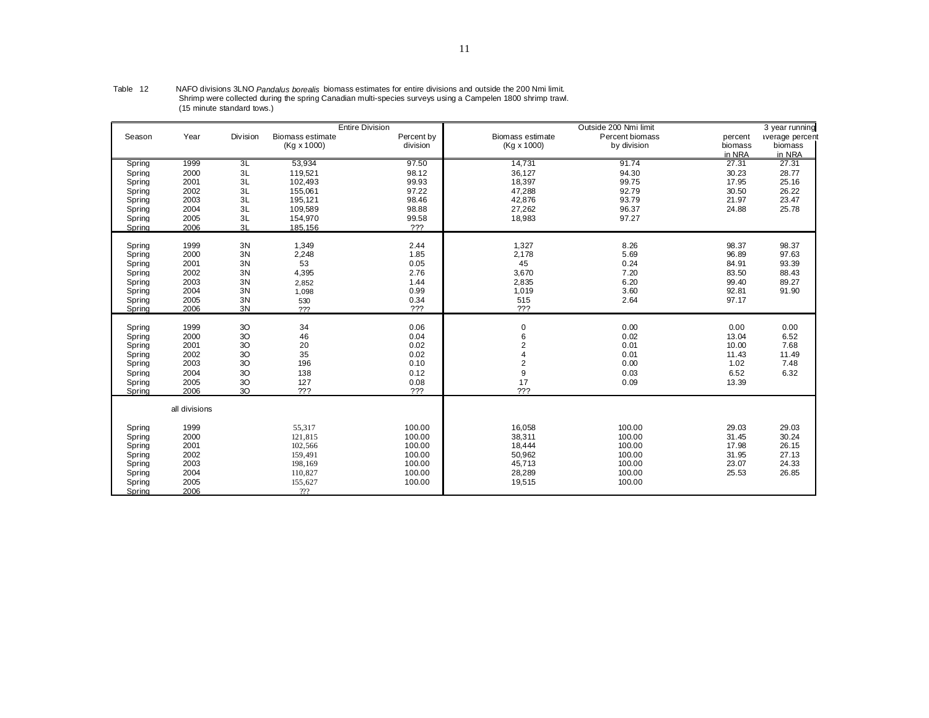|        |               |          |                  | <b>Entire Division</b> |                  | Outside 200 Nmi limit |         | 3 year running  |
|--------|---------------|----------|------------------|------------------------|------------------|-----------------------|---------|-----------------|
| Season | Year          | Division | Biomass estimate | Percent by             | Biomass estimate | Percent biomass       | percent | average percent |
|        |               |          | (Kg x 1000)      | division               | (Kg x 1000)      | by division           | biomass | biomass         |
|        |               |          |                  |                        |                  |                       | in NRA  | in NRA          |
| Spring | 1999          | 3L       | 53.934           | 97.50                  | 14,731           | 91.74                 | 27.31   | 27.31           |
| Spring | 2000          | 3L       | 119,521          | 98.12                  | 36,127           | 94.30                 | 30.23   | 28.77           |
| Spring | 2001          | 3L       | 102,493          | 99.93                  | 18,397           | 99.75                 | 17.95   | 25.16           |
| Spring | 2002          | 3L       | 155,061          | 97.22                  | 47,288           | 92.79                 | 30.50   | 26.22           |
| Spring | 2003          | 3L       | 195,121          | 98.46                  | 42,876           | 93.79                 | 21.97   | 23.47           |
| Spring | 2004          | 3L       | 109.589          | 98.88                  | 27,262           | 96.37                 | 24.88   | 25.78           |
| Spring | 2005          | 3L       | 154,970          | 99.58                  | 18,983           | 97.27                 |         |                 |
| Spring | 2006          | 3L       | 185,156          | ???                    |                  |                       |         |                 |
|        |               |          |                  |                        |                  |                       |         |                 |
| Spring | 1999          | 3N       | 1,349            | 2.44                   | 1,327            | 8.26                  | 98.37   | 98.37           |
| Spring | 2000          | 3N       | 2,248            | 1.85                   | 2,178            | 5.69                  | 96.89   | 97.63           |
| Spring | 2001          | 3N       | 53               | 0.05                   | 45               | 0.24                  | 84.91   | 93.39           |
| Spring | 2002          | 3N       | 4,395            | 2.76                   | 3,670            | 7.20                  | 83.50   | 88.43           |
| Spring | 2003          | 3N       | 2,852            | 1.44                   | 2,835            | 6.20                  | 99.40   | 89.27           |
| Spring | 2004          | 3N       | 1,098            | 0.99                   | 1,019            | 3.60                  | 92.81   | 91.90           |
| Spring | 2005          | 3N       | 530              | 0.34                   | 515              | 2.64                  | 97.17   |                 |
| Spring | 2006          | 3N       | ???              | ???                    | ???              |                       |         |                 |
|        |               |          |                  |                        |                  |                       |         |                 |
| Spring | 1999          | 3O       | 34               | 0.06                   | $\mathbf 0$      | 0.00                  | 0.00    | 0.00            |
| Spring | 2000          | 3O       | 46               | 0.04                   | 6                | 0.02                  | 13.04   | 6.52            |
| Spring | 2001          | 3O       | 20               | 0.02                   | 2                | 0.01                  | 10.00   | 7.68            |
| Spring | 2002          | $3O$     | 35               | 0.02                   |                  | 0.01                  | 11.43   | 11.49           |
| Spring | 2003          | 3O       | 196              | 0.10                   | $\overline{2}$   | 0.00                  | 1.02    | 7.48            |
| Spring | 2004          | 3O       | 138              | 0.12                   | 9                | 0.03                  | 6.52    | 6.32            |
| Spring | 2005          | $3O$     | 127              | 0.08                   | 17               | 0.09                  | 13.39   |                 |
| Spring | 2006          | 3O       | ???              | ???                    | ???              |                       |         |                 |
|        | all divisions |          |                  |                        |                  |                       |         |                 |
|        |               |          |                  |                        |                  |                       |         |                 |
| Spring | 1999          |          | 55,317           | 100.00                 | 16,058           | 100.00                | 29.03   | 29.03           |
| Spring | 2000          |          | 121,815          | 100.00                 | 38,311           | 100.00                | 31.45   | 30.24           |
| Spring | 2001          |          | 102,566          | 100.00                 | 18,444           | 100.00                | 17.98   | 26.15           |
| Spring | 2002          |          | 159,491          | 100.00                 | 50,962           | 100.00                | 31.95   | 27.13           |
| Spring | 2003          |          | 198,169          | 100.00                 | 45,713           | 100.00                | 23.07   | 24.33           |
| Spring | 2004          |          | 110,827          | 100.00                 | 28,289           | 100.00                | 25.53   | 26.85           |
| Spring | 2005          |          | 155,627          | 100.00                 | 19,515           | 100.00                |         |                 |
| Spring | 2006          |          | 222              |                        |                  |                       |         |                 |

Table 12 MAFO divisions 3LNO *Pandalus borealis* biomass estimates for entire divisions and outside the 200 Nmi limit.<br>Shrimp were collected during the spring Canadian multi-species surveys using a Campelen 1800 shrimp tra (15 minute standard tows.)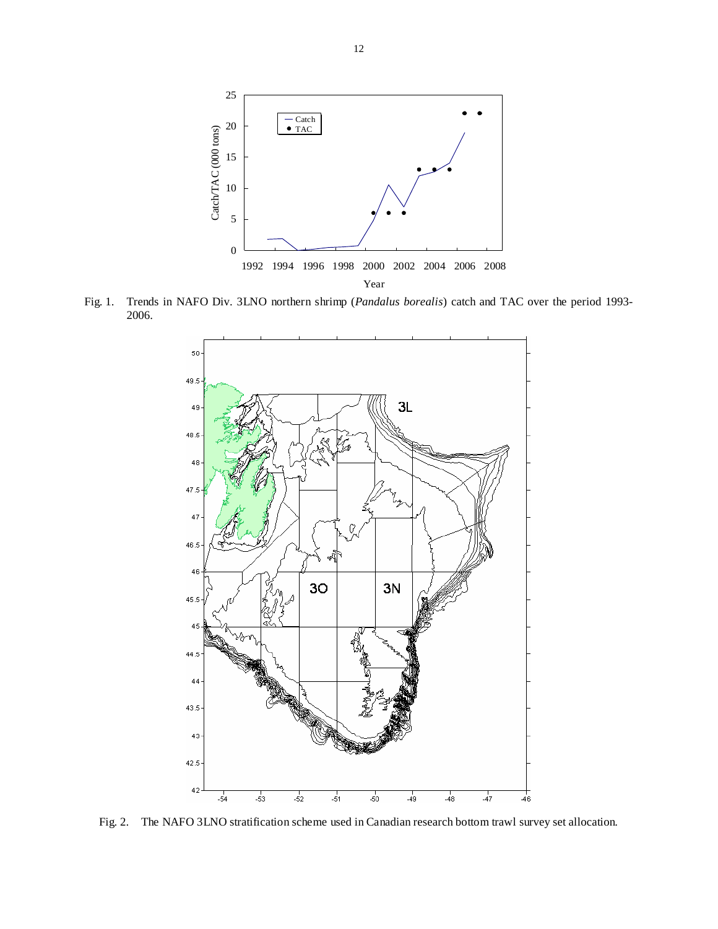

Fig. 1. Trends in NAFO Div. 3LNO northern shrimp (*Pandalus borealis*) catch and TAC over the period 1993- 2006.



Fig. 2. The NAFO 3LNO stratification scheme used in Canadian research bottom trawl survey set allocation.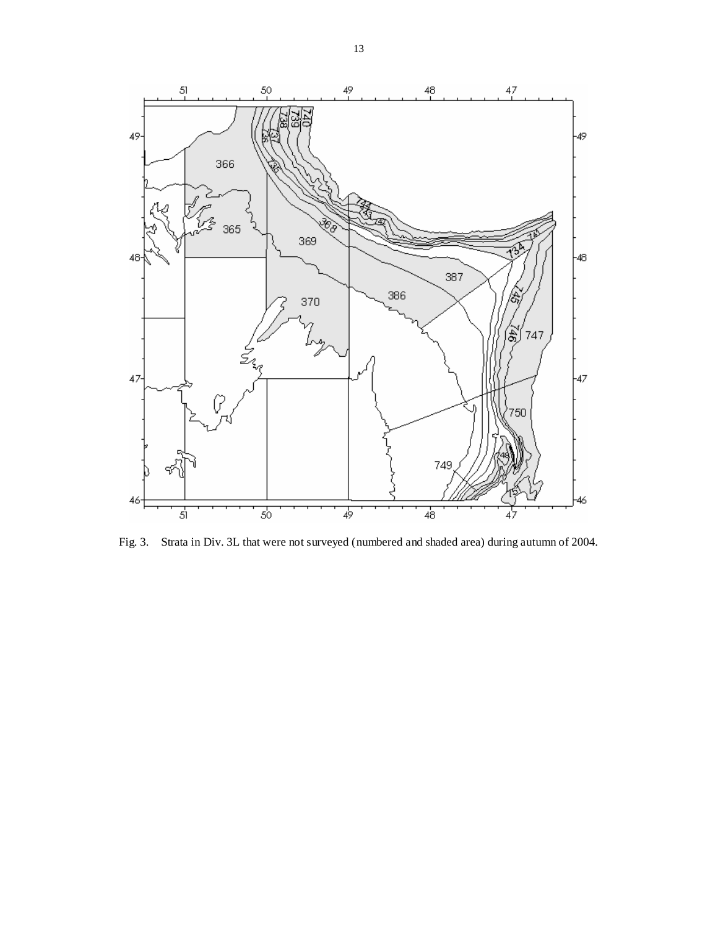

Fig. 3. Strata in Div. 3L that were not surveyed (numbered and shaded area) during autumn of 2004.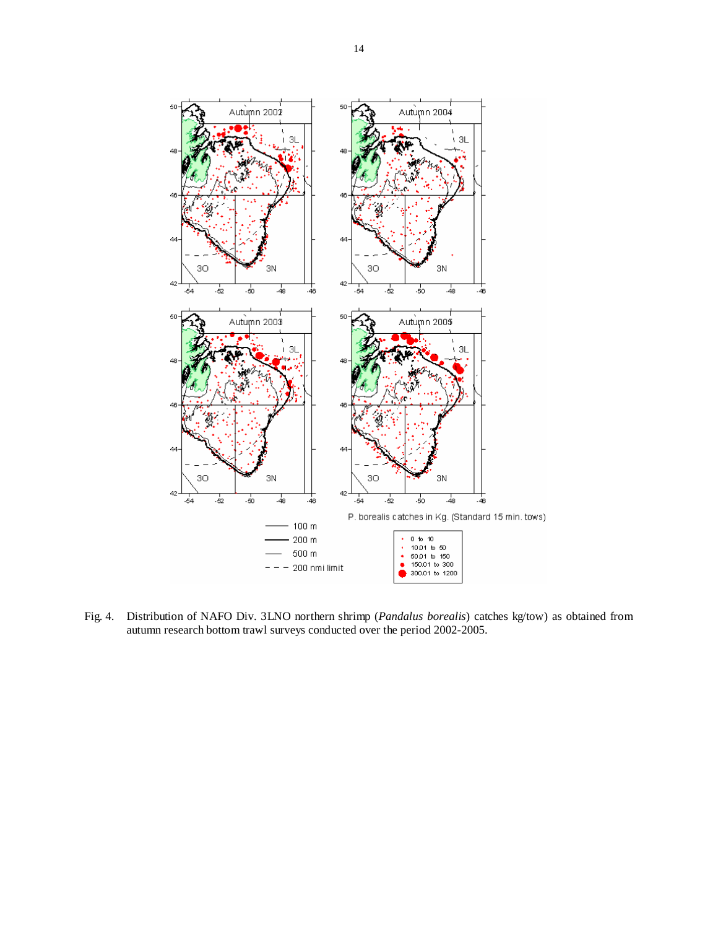

Fig. 4. Distribution of NAFO Div. 3LNO northern shrimp (*Pandalus borealis*) catches kg/tow) as obtained from autumn research bottom trawl surveys conducted over the period 2002-2005.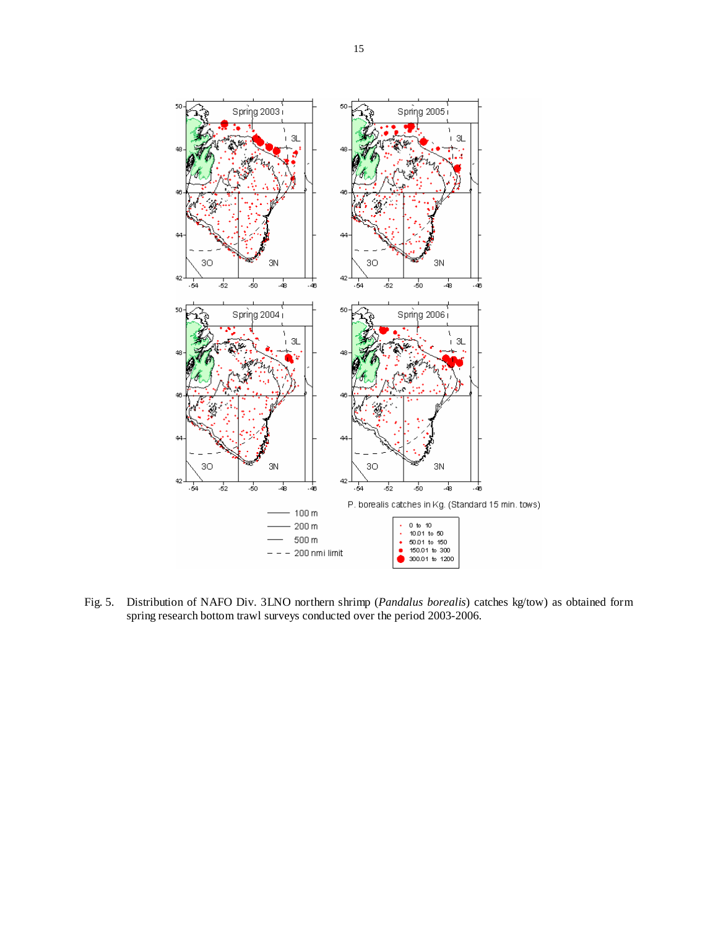

Fig. 5. Distribution of NAFO Div. 3LNO northern shrimp (*Pandalus borealis*) catches kg/tow) as obtained form spring research bottom trawl surveys conducted over the period 2003-2006.